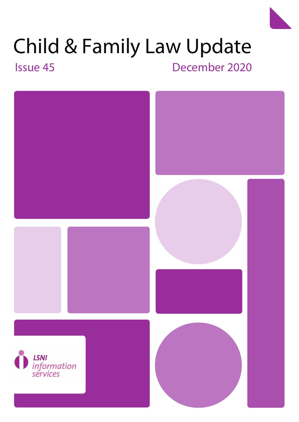# Child & Family Law Update

Issue 42 Issue 38 November 2016 Issue 37 May 2016Issue 45 October 2018 December 2020

Child & Family Law Update 5

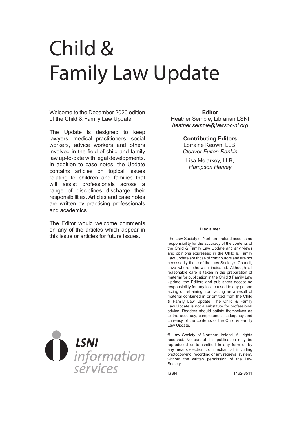## Child & Family Law Update

Welcome to the December 2020 edition of the Child & Family Law Update.

The Update is designed to keep lawyers, medical practitioners, social workers, advice workers and others involved in the field of child and family law up-to-date with legal developments. In addition to case notes, the Update contains articles on topical issues relating to children and families that will assist professionals across a range of disciplines discharge their responsibilities. Articles and case notes are written by practising professionals and academics.

The Editor would welcome comments on any of the articles which appear in this issue or articles for future issues.



Heather Semple, Librarian LSNI *heather.semple@lawsoc-ni.org*

**Contributing Editors** 

Lorraine Keown, LLB, *Cleaver Fulton Rankin*

Lisa Melarkey, LLB, *Hampson Harvey*

#### **Disclaimer**

The Law Society of Northern Ireland accepts no responsibility for the accuracy of the contents of the Child & Family Law Update and any views and opinions expressed in the Child & Family Law Update are those of contributors and are not necessarily those of the Law Society's Council, save where otherwise indicated. Although all reasonable care is taken in the preparation of material for publication in the Child & Family Law Update, the Editors and publishers accept no responsibility for any loss caused to any person acting or refraining from acting as a result of material contained in or omitted from the Child & Family Law Update. The Child & Family Law Update is not a substitute for professional advice. Readers should satisfy themselves as to the accuracy, completeness, adequacy and currency of the contents of the Child & Family Law Update.

© Law Society of Northern Ireland. All rights reserved. No part of this publication may be reproduced or transmitted in any form or by any means electronic or mechanical, including photocopying, recording or any retrieval system, without the written permission of the Law Society.

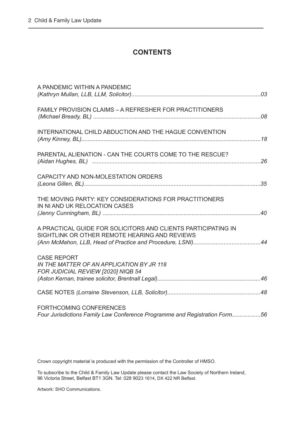#### **CONTENTS**

| A PANDEMIC WITHIN A PANDEMIC                                                                                   |  |
|----------------------------------------------------------------------------------------------------------------|--|
| FAMILY PROVISION CLAIMS - A REFRESHER FOR PRACTITIONERS                                                        |  |
| INTERNATIONAL CHILD ABDUCTION AND THE HAGUE CONVENTION                                                         |  |
| PARENTAL ALIENATION - CAN THE COURTS COME TO THE RESCUE?                                                       |  |
| CAPACITY AND NON-MOLESTATION ORDERS                                                                            |  |
| THE MOVING PARTY: KEY CONSIDERATIONS FOR PRACTITIONERS<br>IN NI AND UK RELOCATION CASES                        |  |
| A PRACTICAL GUIDE FOR SOLICITORS AND CLIENTS PARTICIPATING IN<br>SIGHTLINK OR OTHER REMOTE HEARING AND REVIEWS |  |
| <b>CASE REPORT</b><br>IN THE MATTER OF AN APPLICATION BY JR 118<br>FOR JUDICIAL REVIEW [2020] NIQB 54          |  |
|                                                                                                                |  |
| FORTHCOMING CONFERENCES<br>Four Jurisdictions Family Law Conference Programme and Registration Form56          |  |
|                                                                                                                |  |

Crown copyright material is produced with the permission of the Controller of HMSO.

To subscribe to the Child & Family Law Update please contact the Law Society of Northern Ireland, 96 Victoria Street, Belfast BT1 3GN. Tel: 028 9023 1614, DX 422 NR Belfast.

Artwork: SHO Communications.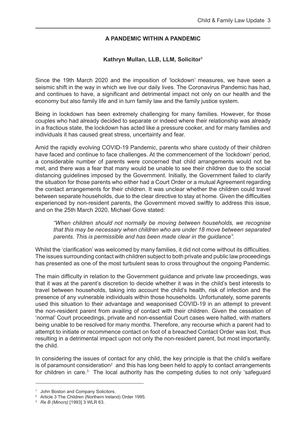#### **A PANDEMIC WITHIN A PANDEMIC**

#### **Kathryn Mullan, LLB, LLM, Solicitor1**

<span id="page-3-0"></span>Since the 19th March 2020 and the imposition of 'lockdown' measures, we have seen a seismic shift in the way in which we live our daily lives. The Coronavirus Pandemic has had, and continues to have, a significant and detrimental impact not only on our health and the economy but also family life and in turn family law and the family justice system.

Being in lockdown has been extremely challenging for many families. However, for those couples who had already decided to separate or indeed where their relationship was already in a fractious state, the lockdown has acted like a pressure cooker, and for many families and individuals it has caused great stress, uncertainty and fear.

Amid the rapidly evolving COVID-19 Pandemic, parents who share custody of their children have faced and continue to face challenges. At the commencement of the 'lockdown' period, a considerable number of parents were concerned that child arrangements would not be met, and there was a fear that many would be unable to see their children due to the social distancing guidelines imposed by the Government. Initially, the Government failed to clarify the situation for those parents who either had a Court Order or a mutual Agreement regarding the contact arrangements for their children. It was unclear whether the children could travel between separate households, due to the clear directive to stay at home. Given the difficulties experienced by non-resident parents, the Government moved swiftly to address this issue, and on the 25th March 2020, Michael Gove stated:

 *"When children should not normally be moving between households, we recognise that this may be necessary when children who are under 18 move between separated parents. This is permissible and has been made clear in the guidance".* 

Whilst the 'clarification' was welcomed by many families, it did not come without its difficulties. The issues surrounding contact with children subject to both private and public law proceedings has presented as one of the most turbulent seas to cross throughout the ongoing Pandemic.

The main difficulty in relation to the Government guidance and private law proceedings, was that it was at the parent's discretion to decide whether it was in the child's best interests to travel between households, taking into account the child's health, risk of infection and the presence of any vulnerable individuals within those households. Unfortunately, some parents used this situation to their advantage and weaponised COVID-19 in an attempt to prevent the non-resident parent from availing of contact with their children. Given the cessation of 'normal' Court proceedings, private and non-essential Court cases were halted, with matters being unable to be resolved for many months. Therefore, any recourse which a parent had to attempt to initiate or recommence contact on foot of a breached Contact Order was lost, thus resulting in a detrimental impact upon not only the non-resident parent, but most importantly, the child.

In considering the issues of contact for any child, the key principle is that the child's welfare is of paramount consideration<sup>2</sup> and this has long been held to apply to contact arrangements for children in care.<sup>3</sup> The local authority has the competing duties to not only 'safeguard

<sup>&</sup>lt;sup>1</sup> John Boston and Company Solicitors.

<sup>2</sup> Article 3 The Children (Northern Ireland) Order 1995.

<sup>3</sup> *Re B (Minors)* [1993] 3 WLR 63.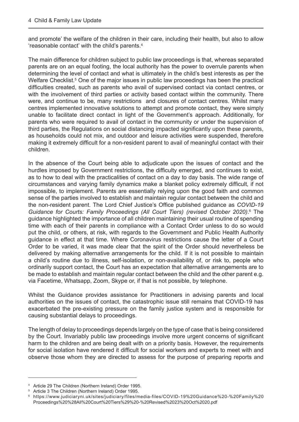and promote' the welfare of the children in their care, including their health, but also to allow 'reasonable contact' with the child's parents.4

The main difference for children subject to public law proceedings is that, whereas separated parents are on an equal footing, the local authority has the power to overrule parents when determining the level of contact and what is ultimately in the child's best interests as per the Welfare Checklist.<sup>5</sup> One of the major issues in public law proceedings has been the practical difficulties created, such as parents who avail of supervised contact via contact centres, or with the involvement of third parties or activity based contact within the community. There were, and continue to be, many restrictions and closures of contact centres. Whilst many centres implemented innovative solutions to attempt and promote contact, they were simply unable to facilitate direct contact in light of the Government's approach. Additionally, for parents who were required to avail of contact in the community or under the supervision of third parties, the Regulations on social distancing impacted significantly upon these parents, as households could not mix, and outdoor and leisure activities were suspended, therefore making it extremely difficult for a non-resident parent to avail of meaningful contact with their children.

In the absence of the Court being able to adjudicate upon the issues of contact and the hurdles imposed by Government restrictions, the difficulty emerged, and continues to exist, as to how to deal with the practicalities of contact on a day to day basis. The wide range of circumstances and varying family dynamics make a blanket policy extremely difficult, if not impossible, to implement. Parents are essentially relying upon the good faith and common sense of the parties involved to establish and maintain regular contact between the child and the non-resident parent. The Lord Chief Justice's Office published guidance as *COVID-19*  Guidance for Courts: Family Proceedings (All Court Tiers) (revised October 2020).<sup>6</sup> The guidance highlighted the importance of all children maintaining their usual routine of spending time with each of their parents in compliance with a Contact Order unless to do so would put the child, or others, at risk, with regards to the Government and Public Health Authority guidance in effect at that time. Where Coronavirus restrictions cause the letter of a Court Order to be varied, it was made clear that the spirit of the Order should nevertheless be delivered by making alternative arrangements for the child. If it is not possible to maintain a child's routine due to illness, self-isolation, or non-availability of, or risk to, people who ordinarily support contact, the Court has an expectation that alternative arrangements are to be made to establish and maintain regular contact between the child and the other parent e.g. via Facetime, Whatsapp, Zoom, Skype or, if that is not possible, by telephone.

Whilst the Guidance provides assistance for Practitioners in advising parents and local authorities on the issues of contact, the catastrophic issue still remains that COVID-19 has exacerbated the pre-existing pressure on the family justice system and is responsible for causing substantial delays to proceedings.

The length of delay to proceedings depends largely on the type of case that is being considered by the Court. Invariably public law proceedings involve more urgent concerns of significant harm to the children and are being dealt with on a priority basis. However, the requirements for social isolation have rendered it difficult for social workers and experts to meet with and observe those whom they are directed to assess for the purpose of preparing reports and

<sup>4</sup> Article 29 The Children (Northern Ireland) Order 1995.

<sup>5</sup> Article 3 The Children (Northern Ireland) Order 1995.

<sup>6</sup>  [https://www.judiciaryni.uk/sites/judiciary/files/media-files/COVID-19%20Guidance%20-%20Family%20](https://www.judiciaryni.uk/sites/judiciary/files/media-files/COVID-19%20Guidance%20-%20Family%20Proceedings%20%28All%20Court%20Tiers%29%20-%20Revised%2023%20Oct%2020.pdf) Proceedings%20%28All%20Court%20Tiers%29%20-%20Revised%2023%20Oct%2020.pdf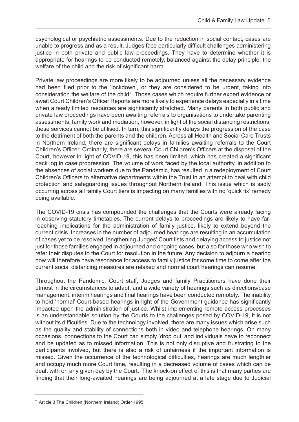psychological or psychiatric assessments. Due to the reduction in social contact, cases are unable to progress and as a result, Judges face particularly difficult challenges administering justice in both private and public law proceedings. They have to determine whether it is appropriate for hearings to be conducted remotely, balanced against the delay principle, the welfare of the child and the risk of significant harm.

Private law proceedings are more likely to be adjourned unless all the necessary evidence had been filed prior to the 'lockdown', or they are considered to be urgent, taking into consideration the welfare of the child<sup>7</sup>. Those cases which require further expert evidence or await Court Children's Officer Reports are more likely to experience delays especially in a time when already limited resources are significantly stretched. Many parents in both public and private law proceedings have been awaiting referrals to organisations to undertake parenting assessments, family work and mediation, however, in light of the social distancing restrictions, these services cannot be utilised. In turn, this significantly delays the progression of the case to the detriment of both the parents and the children. Across all Health and Social Care Trusts in Northern Ireland, there are significant delays in families awaiting referrals to the Court Children's Officer. Ordinarily, there are several Court Children's Officers at the disposal of the Court, however in light of COVID-19, this has been limited, which has created a significant back log in case progression. The volume of work faced by the local authority, in addition to the absences of social workers due to the Pandemic, has resulted in a redeployment of Court Children's Officers to alternative departments within the Trust in an attempt to deal with child protection and safeguarding issues throughout Northern Ireland. This issue which is sadly occurring across all family Court tiers is impacting on many families with no 'quick fix' remedy being available.

The COVID-19 crisis has compounded the challenges that the Courts were already facing in observing statutory timetables. The current delays to proceedings are likely to have farreaching implications for the administration of family justice, likely to extend beyond the current crisis. Increases in the number of adjourned hearings are resulting in an accumulation of cases yet to be resolved, lengthening Judges' Court lists and delaying access to justice not just for those families engaged in adjourned and ongoing cases, but also for those who wish to refer their disputes to the Court for resolution in the future. Any decision to adjourn a hearing now will therefore have resonance for access to family justice for some time to come after the current social distancing measures are relaxed and normal court hearings can resume.

Throughout the Pandemic, Court staff, Judges and family Practitioners have done their utmost in the circumstances to adapt, and a wide variety of hearings such as directions/case management, interim hearings and final hearings have been conducted remotely. The inability to hold 'normal' Court-based hearings in light of the Government guidance has significantly impacted upon the administration of justice. Whilst implementing remote access processes is an understandable solution by the Courts to the challenges posed by COVID-19, it is not without its difficulties. Due to the technology involved, there are many issues which arise such as the quality and stability of connections both in video and telephone hearings. On many occasions, connections to the Court can simply 'drop out' and individuals have to reconnect and be updated as to missed information. This is not only disruptive and frustrating to the participants involved, but there is also a risk of unfairness if the important information is missed. Given the occurrence of the technological difficulties, hearings are much lengthier and occupy much more Court time, resulting in a decreased volume of cases which can be dealt with on any given day by the Court. The knock-on effect of this is that many parties are finding that their long-awaited hearings are being adjourned at a late stage due to Judicial

<sup>7</sup> Article 3 The Children (Northern Ireland) Order 1995.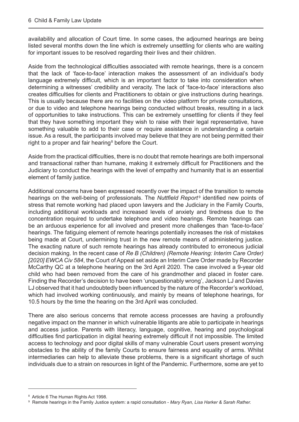availability and allocation of Court time. In some cases, the adjourned hearings are being listed several months down the line which is extremely unsettling for clients who are waiting for important issues to be resolved regarding their lives and their children.

Aside from the technological difficulties associated with remote hearings, there is a concern that the lack of 'face-to-face' interaction makes the assessment of an individual's body language extremely difficult, which is an important factor to take into consideration when determining a witnesses' credibility and veracity. The lack of 'face-to-face' interactions also creates difficulties for clients and Practitioners to obtain or give instructions during hearings. This is usually because there are no facilities on the video platform for private consultations, or due to video and telephone hearings being conducted without breaks, resulting in a lack of opportunities to take instructions. This can be extremely unsettling for clients if they feel that they have something important they wish to raise with their legal representative, have something valuable to add to their case or require assistance in understanding a certain issue. As a result, the participants involved may believe that they are not being permitted their right to a proper and fair hearing<sup>8</sup> before the Court.

Aside from the practical difficulties, there is no doubt that remote hearings are both impersonal and transactional rather than humane, making it extremely difficult for Practitioners and the Judiciary to conduct the hearings with the level of empathy and humanity that is an essential element of family justice.

Additional concerns have been expressed recently over the impact of the transition to remote hearings on the well-being of professionals. The *Nuttfield Report<sup>9</sup>* identified new points of stress that remote working had placed upon lawyers and the Judiciary in the Family Courts, including additional workloads and increased levels of anxiety and tiredness due to the concentration required to undertake telephone and video hearings. Remote hearings can be an arduous experience for all involved and present more challenges than 'face-to-face' hearings. The fatiguing element of remote hearings potentially increases the risk of mistakes being made at Court, undermining trust in the new remote means of administering justice. The exacting nature of such remote hearings has already contributed to erroneous judicial decision making. In the recent case of *Re B (Children) (Remote Hearing: Interim Care Order) [2020] EWCA Civ 584*, the Court of Appeal set aside an Interim Care Order made by Recorder McCarthy QC at a telephone hearing on the 3rd April 2020. The case involved a 9-year old child who had been removed from the care of his grandmother and placed in foster care. Finding the Recorder's decision to have been 'unquestionably wrong', Jackson LJ and Davies LJ observed that it had undoubtedly been influenced by the nature of the Recorder's workload, which had involved working continuously, and mainly by means of telephone hearings, for 10.5 hours by the time the hearing on the 3rd April was concluded.

There are also serious concerns that remote access processes are having a profoundly negative impact on the manner in which vulnerable litigants are able to participate in hearings and access justice. Parents with literacy, language, cognitive, hearing and psychological difficulties find participation in digital hearing extremely difficult if not impossible. The limited access to technology and poor digital skills of many vulnerable Court users present worrying obstacles to the ability of the family Courts to ensure fairness and equality of arms. Whilst intermediaries can help to alleviate these problems, there is a significant shortage of such individuals due to a strain on resources in light of the Pandemic. Furthermore, some are yet to

<sup>8</sup> Article 6 The Human Rights Act 1998.

<sup>9</sup> Remote hearings in the Family Justice system: a rapid consultation - *Mary Ryan, Lisa Harker & Sarah Rather.*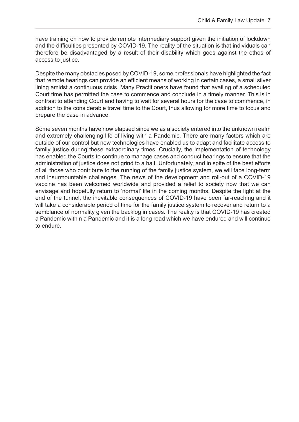have training on how to provide remote intermediary support given the initiation of lockdown and the difficulties presented by COVID-19. The reality of the situation is that individuals can therefore be disadvantaged by a result of their disability which goes against the ethos of access to justice.

Despite the many obstacles posed by COVID-19, some professionals have highlighted the fact that remote hearings can provide an efficient means of working in certain cases, a small silver lining amidst a continuous crisis. Many Practitioners have found that availing of a scheduled Court time has permitted the case to commence and conclude in a timely manner. This is in contrast to attending Court and having to wait for several hours for the case to commence, in addition to the considerable travel time to the Court, thus allowing for more time to focus and prepare the case in advance.

Some seven months have now elapsed since we as a society entered into the unknown realm and extremely challenging life of living with a Pandemic. There are many factors which are outside of our control but new technologies have enabled us to adapt and facilitate access to family justice during these extraordinary times. Crucially, the implementation of technology has enabled the Courts to continue to manage cases and conduct hearings to ensure that the administration of justice does not grind to a halt. Unfortunately, and in spite of the best efforts of all those who contribute to the running of the family justice system, we will face long-term and insurmountable challenges. The news of the development and roll-out of a COVID-19 vaccine has been welcomed worldwide and provided a relief to society now that we can envisage and hopefully return to 'normal' life in the coming months. Despite the light at the end of the tunnel, the inevitable consequences of COVID-19 have been far-reaching and it will take a considerable period of time for the family justice system to recover and return to a semblance of normality given the backlog in cases. The reality is that COVID-19 has created a Pandemic within a Pandemic and it is a long road which we have endured and will continue to endure.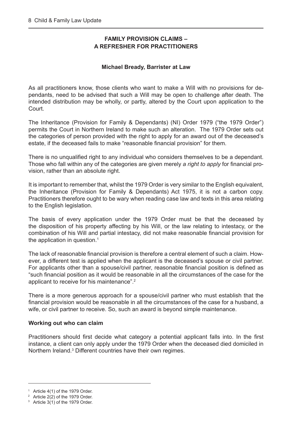#### **FAMILY PROVISION CLAIMS – A REFRESHER FOR PRACTITIONERS**

#### **Michael Bready, Barrister at Law**

<span id="page-8-0"></span>As all practitioners know, those clients who want to make a Will with no provisions for dependants, need to be advised that such a Will may be open to challenge after death. The intended distribution may be wholly, or partly, altered by the Court upon application to the Court.

The Inheritance (Provision for Family & Dependants) (NI) Order 1979 ("the 1979 Order") permits the Court in Northern Ireland to make such an alteration. The 1979 Order sets out the categories of person provided with the right to apply for an award out of the deceased's estate, if the deceased fails to make "reasonable financial provision" for them.

There is no unqualified right to any individual who considers themselves to be a dependant. Those who fall within any of the categories are given merely *a right to apply* for financial provision, rather than an absolute right.

It is important to remember that, whilst the 1979 Order is very similar to the English equivalent, the Inheritance (Provision for Family & Dependants) Act 1975, it is not a carbon copy. Practitioners therefore ought to be wary when reading case law and texts in this area relating to the English legislation.

The basis of every application under the 1979 Order must be that the deceased by the disposition of his property affecting by his Will, or the law relating to intestacy, or the combination of his Will and partial intestacy, did not make reasonable financial provision for the application in question.<sup>1</sup>

The lack of reasonable financial provision is therefore a central element of such a claim. However, a different test is applied when the applicant is the deceased's spouse or civil partner. For applicants other than a spouse/civil partner, reasonable financial position is defined as "such financial position as it would be reasonable in all the circumstances of the case for the applicant to receive for his maintenance".2

There is a more generous approach for a spouse/civil partner who must establish that the financial provision would be reasonable in all the circumstances of the case for a husband, a wife, or civil partner to receive. So, such an award is beyond simple maintenance.

#### **Working out who can claim**

Practitioners should first decide what category a potential applicant falls into. In the first instance, a client can only apply under the 1979 Order when the deceased died domiciled in Northern Ireland.<sup>3</sup> Different countries have their own regimes.

 $1$  Article 4(1) of the 1979 Order.

<sup>2</sup> Article 2(2) of the 1979 Order.

<sup>&</sup>lt;sup>3</sup> Article 3(1) of the 1979 Order.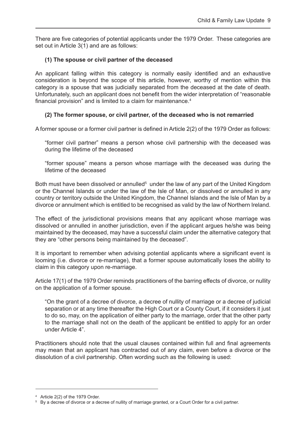There are five categories of potential applicants under the 1979 Order. These categories are set out in Article 3(1) and are as follows:

#### **(1) The spouse or civil partner of the deceased**

An applicant falling within this category is normally easily identified and an exhaustive consideration is beyond the scope of this article, however, worthy of mention within this category is a spouse that was judicially separated from the deceased at the date of death. Unfortunately, such an applicant does not benefit from the wider interpretation of "reasonable financial provision" and is limited to a claim for maintenance.<sup>4</sup>

#### **(2) The former spouse, or civil partner, of the deceased who is not remarried**

A former spouse or a former civil partner is defined in Article 2(2) of the 1979 Order as follows:

"former civil partner" means a person whose civil partnership with the deceased was during the lifetime of the deceased

 "former spouse" means a person whose marriage with the deceased was during the lifetime of the deceased

Both must have been dissolved or annulled<sup>5</sup> under the law of any part of the United Kingdom or the Channel Islands or under the law of the Isle of Man, or dissolved or annulled in any country or territory outside the United Kingdom, the Channel Islands and the Isle of Man by a divorce or annulment which is entitled to be recognised as valid by the law of Northern Ireland.

The effect of the jurisdictional provisions means that any applicant whose marriage was dissolved or annulled in another jurisdiction, even if the applicant argues he/she was being maintained by the deceased, may have a successful claim under the alternative category that they are "other persons being maintained by the deceased".

It is important to remember when advising potential applicants where a significant event is looming (i.e. divorce or re-marriage), that a former spouse automatically loses the ability to claim in this category upon re-marriage.

Article 17(1) of the 1979 Order reminds practitioners of the barring effects of divorce, or nullity on the application of a former spouse.

 "On the grant of a decree of divorce, a decree of nullity of marriage or a decree of judicial separation or at any time thereafter the High Court or a County Court, if it considers it just to do so, may, on the application of either party to the marriage, order that the other party to the marriage shall not on the death of the applicant be entitled to apply for an order under Article 4".

Practitioners should note that the usual clauses contained within full and final agreements may mean that an applicant has contracted out of any claim, even before a divorce or the dissolution of a civil partnership. Often wording such as the following is used:

<sup>4</sup> Article 2(2) of the 1979 Order.

<sup>&</sup>lt;sup>5</sup> By a decree of divorce or a decree of nullity of marriage granted, or a Court Order for a civil partner.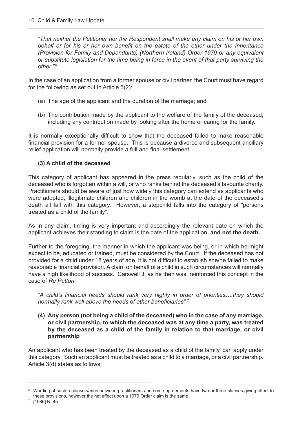*"That neither the Petitioner nor the Respondent shall make any claim on his or her own behalf or for his or her own benefit on the estate of the other under the Inheritance (Provision for Family and Dependants) (Northern Ireland) Order 1979 or any equivalent or substitute legislation for the time being in force in the event of that party surviving the other." <sup>6</sup>*

In the case of an application from a former spouse or civil partner, the Court must have regard for the following as set out in Article 5(2):

- (a) The age of the applicant and the duration of the marriage; and
- (b) The contribution made by the applicant to the welfare of the family of the deceased; including any contribution made by looking after the home or caring for the family.

It is normally exceptionally difficult to show that the deceased failed to make reasonable financial provision for a former spouse. This is because a divorce and subsequent ancillary relief application will normally provide a full and final settlement.

#### **(3) A child of the deceased**

This category of applicant has appeared in the press regularly, such as the child of the deceased who is forgotten within a will, or who ranks behind the deceased's favourite charity. Practitioners should be aware of just how widely this category can extend as applicants who were adopted, illegitimate children and children in the womb at the date of the deceased's death all fall with this category. However, a stepchild falls into the category of "persons treated as a child of the family".

As in any claim, timing is very important and accordingly the relevant date on which the applicant achieves their standing to claim is the date of the application, **and not the death.**

Further to the foregoing, the manner in which the applicant was being, or in which he might expect to be, educated or trained, must be considered by the Court. If the deceased has not provided for a child under 18 years of age, it is not difficult to establish she/he failed to make reasonable financial provision. A claim on behalf of a child in such circumstances will normally have a high likelihood of success. Carswell J, as he then was, reinforced this concept in the case of *Re Patton*:

*"A child's financial needs should rank very highly in order of priorities….they should normally rank well above the needs of other beneficiaries".*<sup>7</sup>

**(4) Any person (not being a child of the deceased) who in the case of any marriage, or civil partnership, to which the deceased was at any time a party, was treated by the deceased as a child of the family in relation to that marriage, or civil partnership**

An applicant who has been treated by the deceased as a child of the family, can apply under this category. Such an applicant must be treated as a child to a marriage, or a civil partnership. Article 3(d) states as follows:

 $^6$  Wording of such a clause varies between practitioners and some agreements have two or three clauses giving effect to these provisions, however the net effect upon a 1979 Order claim is the same.

 $7$  [1986] NI 45.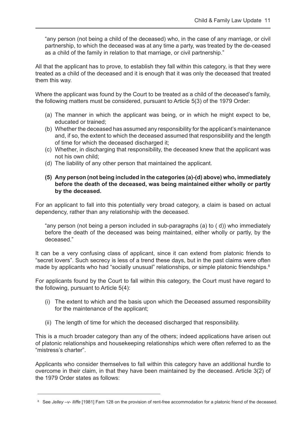"any person (not being a child of the deceased) who, in the case of any marriage, or civil partnership, to which the deceased was at any time a party, was treated by the de-ceased as a child of the family in relation to that marriage, or civil partnership."

All that the applicant has to prove, to establish they fall within this category, is that they were treated as a child of the deceased and it is enough that it was only the deceased that treated them this way.

Where the applicant was found by the Court to be treated as a child of the deceased's family, the following matters must be considered, pursuant to Article 5(3) of the 1979 Order:

- (a) The manner in which the applicant was being, or in which he might expect to be, educated or trained;
- (b) Whether the deceased has assumed any responsibility for the applicant's maintenance and, if so, the extent to which the deceased assumed that responsibility and the length of time for which the deceased discharged it;
- (c) Whether, in discharging that responsibility, the deceased knew that the applicant was not his own child;
- (d) The liability of any other person that maintained the applicant.

#### **(5) Any person (not being included in the categories (a)-(d) above) who, immediately before the death of the deceased, was being maintained either wholly or partly by the deceased.**

For an applicant to fall into this potentially very broad category, a claim is based on actual dependency, rather than any relationship with the deceased.

 "any person (not being a person included in sub-paragraphs (a) to ( d)) who immediately before the death of the deceased was being maintained, either wholly or partly, by the deceased."

It can be a very confusing class of applicant, since it can extend from platonic friends to "secret lovers". Such secrecy is less of a trend these days, but in the past claims were often made by applicants who had "socially unusual" relationships, or simple platonic friendships.<sup>8</sup>

For applicants found by the Court to fall within this category, the Court must have regard to the following, pursuant to Article 5(4):

- (i) The extent to which and the basis upon which the Deceased assumed responsibility for the maintenance of the applicant;
- (ii) The length of time for which the deceased discharged that responsibility.

This is a much broader category than any of the others; indeed applications have arisen out of platonic relationships and housekeeping relationships which were often referred to as the "mistress's charter".

Applicants who consider themselves to fall within this category have an additional hurdle to overcome in their claim, in that they have been maintained by the deceased. Article 3(2) of the 1979 Order states as follows:

<sup>8</sup> See *Jelley –v- Iliffe* [1981] Fam 128 on the provision of rent-free accommodation for a platonic friend of the deceased.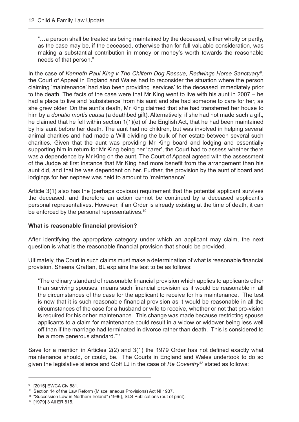"…a person shall be treated as being maintained by the deceased, either wholly or partly, as the case may be, if the deceased, otherwise than for full valuable consideration, was making a substantial contribution in money or money's worth towards the reasonable needs of that person."

In the case of *Kenneth Paul King v The Chiltern Dog Rescue, Redwings Horse Sanctuary*<sup>9</sup> , the Court of Appeal in England and Wales had to reconsider the situation where the person claiming 'maintenance' had also been providing 'services' to the deceased immediately prior to the death. The facts of the case were that Mr King went to live with his aunt in 2007 – he had a place to live and 'subsistence' from his aunt and she had someone to care for her, as she grew older. On the aunt's death, Mr King claimed that she had transferred her house to him by a *donatio mortis causa* (a deathbed gift). Alternatively, if she had not made such a gift, he claimed that he fell within section 1(1)(e) of the English Act, that he had been maintained by his aunt before her death. The aunt had no children, but was involved in helping several animal charities and had made a Will dividing the bulk of her estate between several such charities. Given that the aunt was providing Mr King board and lodging and essentially supporting him in return for Mr King being her 'carer', the Court had to assess whether there was a dependence by Mr King on the aunt. The Court of Appeal agreed with the assessment of the Judge at first instance that Mr King had more benefit from the arrangement than his aunt did, and that he was dependant on her. Further, the provision by the aunt of board and lodgings for her nephew was held to amount to 'maintenance'.

Article 3(1) also has the (perhaps obvious) requirement that the potential applicant survives the deceased, and therefore an action cannot be continued by a deceased applicant's personal representatives. However, if an Order is already existing at the time of death, it can be enforced by the personal representatives.<sup>10</sup>

#### **What is reasonable financial provision?**

After identifying the appropriate category under which an applicant may claim, the next question is what is the reasonable financial provision that should be provided.

Ultimately, the Court in such claims must make a determination of what is reasonable financial provision. Sheena Grattan, BL explains the test to be as follows:

"The ordinary standard of reasonable financial provision which applies to applicants other than surviving spouses, means such financial provision as it would be reasonable in all the circumstances of the case for the applicant to receive for his maintenance. The test is now that it is such reasonable financial provision as it would be reasonable in all the circumstances of the case for a husband or wife to receive, whether or not that pro-vision is required for his or her maintenance. This change was made because restricting spouse applicants to a claim for maintenance could result in a widow or widower being less well off than if the marriage had terminated in divorce rather than death. This is considered to be a more generous standard."11

Save for a mention in Articles 2(2) and 3(1) the 1979 Order has not defined exactly what maintenance should, or could, be. The Courts in England and Wales undertook to do so given the legislative silence and Goff LJ in the case of *Re Coventry*12 stated as follows:

<sup>9</sup> [2015] EWCA Civ 581.

<sup>10</sup> Section 14 of the Law Reform (Miscellaneous Provisions) Act NI 1937.

<sup>&</sup>lt;sup>11</sup> "Succession Law in Northern Ireland" (1996), SLS Publications (out of print).

<sup>12</sup> [1979] 3 All ER 815.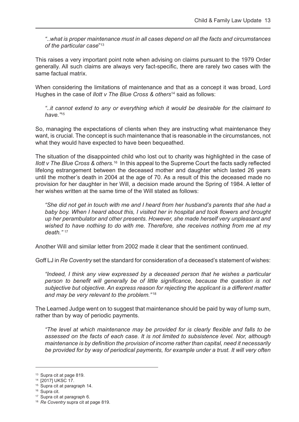*"..what is proper maintenance must in all cases depend on all the facts and circumstances of the particular case*" 13

This raises a very important point note when advising on claims pursuant to the 1979 Order generally. All such claims are always very fact-specific, there are rarely two cases with the same factual matrix.

When considering the limitations of maintenance and that as a concept it was broad, Lord Hughes in the case of *Ilott v The Blue Cross & others*14 said as follows:

 *"..it cannot extend to any or everything which it would be desirable for the claimant to have."*<sup>15</sup>

So, managing the expectations of clients when they are instructing what maintenance they want, is crucial. The concept is such maintenance that is reasonable in the circumstances, not what they would have expected to have been bequeathed.

The situation of the disappointed child who lost out to charity was highlighted in the case of *Ilott v The Blue Cross & others.*<sup>16</sup> In this appeal to the Supreme Court the facts sadly reflected lifelong estrangement between the deceased mother and daughter which lasted 26 years until the mother's death in 2004 at the age of 70. As a result of this the deceased made no provision for her daughter in her Will, a decision made around the Spring of 1984. A letter of her wishes written at the same time of the Will stated as follows:

 *"She did not get in touch with me and I heard from her husband's parents that she had a baby boy. When I heard about this, I visited her in hospital and took flowers and brought up her perambulator and other presents. However, she made herself very unpleasant and wished to have nothing to do with me. Therefore, she receives nothing from me at my death."* <sup>17</sup>

Another Will and similar letter from 2002 made it clear that the sentiment continued.

Goff LJ in *Re Coventry* set the standard for consideration of a deceased's statement of wishes:

 *"Indeed, I think any view expressed by a deceased person that he wishes a particular person to benefit will generally be of little significance, because the question is not subjective but objective. An express reason for rejecting the applicant is a different matter and may be very relevant to the problem."* <sup>18</sup>

The Learned Judge went on to suggest that maintenance should be paid by way of lump sum, rather than by way of periodic payments.

*"The level at which maintenance may be provided for is clearly flexible and falls to be assessed on the facts of each case. It is not limited to subsistence level. Nor, although maintenance is by definition the provision of income rather than capital, need it necessarily be provided for by way of periodical payments, for example under a trust. It will very often* 

<sup>13</sup> Supra cit at page 819.

<sup>14</sup> [2017] UKSC 17.

<sup>15</sup> Supra cit at paragraph 14.

<sup>&</sup>lt;sup>16</sup> Supra cit.

<sup>17</sup> Supra cit at paragraph 6.

<sup>18</sup> *Re Coventry* supra cit at page 819.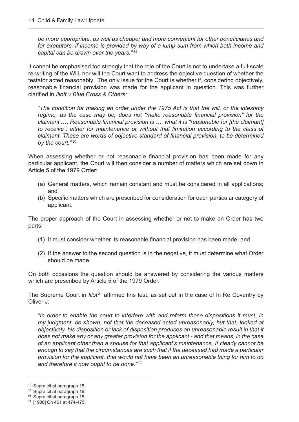*be more appropriate, as well as cheaper and more convenient for other beneficiaries and for executors, if income is provided by way of a lump sum from which both income and capital can be drawn over the years." 19*

It cannot be emphasised too strongly that the role of the Court is not to undertake a full-scale re-writing of the Will, nor will the Court want to address the objective question of whether the testator acted reasonably. The only issue for the Court is whether if, considering objectively, reasonable financial provision was made for the applicant in question. This was further clarified in *Illott v Blue Cross & Others:* 

*"The condition for making an order under the 1975 Act is that the will, or the intestacy regime, as the case may be, does not "make reasonable financial provision" for the claimant .… Reasonable financial provision is …. what it is "reasonable for [the claimant] to receive", either for maintenance or without that limitation according to the class of claimant. These are words of objective standard of financial provision, to be determined by the court." 20*

When assessing whether or not reasonable financial provision has been made for any particular applicant, the Court will then consider a number of matters which are set down in Article 5 of the 1979 Order:

- (a) General matters, which remain constant and must be considered in all applications; and
- (b) Specific matters which are prescribed for consideration for each particular category of applicant.

The proper approach of the Court in assessing whether or not to make an Order has two parts:

- (1) It must consider whether its reasonable financial provision has been made; and
- (2) If the answer to the second question is in the negative, it must determine what Order should be made.

On both occasions the question should be answered by considering the various matters which are prescribed by Article 5 of the 1979 Order.

The Supreme Court in *Illot<sup>21</sup>* affirmed this test, as set out in the case of In Re Coventry by Oliver J:

 *"In order to enable the court to interfere with and reform those dispositions it must, in my judgment, be shown, not that the deceased acted unreasonably, but that, looked at objectively, his disposition or lack of disposition produces an unreasonable result in that it does not make any or any greater provision for the applicant - and that means, in the case of an applicant other than a spouse for that applicant's maintenance. It clearly cannot be enough to say that the circumstances are such that if the deceased had made a particular provision for the applicant, that would not have been an unreasonable thing for him to do and therefore it now ought to be done." 22*

<sup>19</sup> Supra cit at paragraph 15.

<sup>20</sup> Supra cit at paragraph 16.

<sup>21</sup> Supra cit at paragraph 18.

<sup>22</sup> [1980] Ch 461 at 474-475.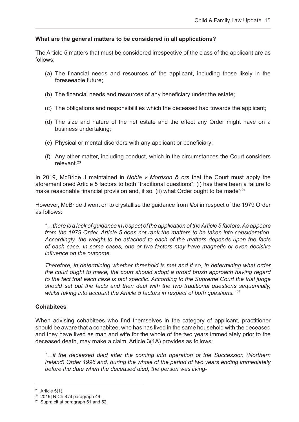#### **What are the general matters to be considered in all applications?**

The Article 5 matters that must be considered irrespective of the class of the applicant are as follows:

- (a) The financial needs and resources of the applicant, including those likely in the foreseeable future;
- (b) The financial needs and resources of any beneficiary under the estate;
- (c) The obligations and responsibilities which the deceased had towards the applicant;
- (d) The size and nature of the net estate and the effect any Order might have on a business undertaking;
- (e) Physical or mental disorders with any applicant or beneficiary;
- (f) Any other matter, including conduct, which in the circumstances the Court considers relevant<sup>23</sup>

In 2019, McBride J maintained in *Noble v Morrison & ors* that the Court must apply the aforementioned Article 5 factors to both "traditional questions": (i) has there been a failure to make reasonable financial provision and, if so; (ii) what Order ought to be made?<sup>24</sup>

However, McBride J went on to crystallise the guidance from *Illot* in respect of the 1979 Order as follows:

*"…there is a lack of guidance in respect of the application of the Article 5 factors. As appears from the 1979 Order, Article 5 does not rank the matters to be taken into consideration. Accordingly, the weight to be attached to each of the matters depends upon the facts of each case. In some cases, one or two factors may have magnetic or even decisive influence on the outcome.* 

 *Therefore, in determining whether threshold is met and if so, in determining what order the court ought to make, the court should adopt a broad brush approach having regard to the fact that each case is fact specific. According to the Supreme Court the trial judge should set out the facts and then deal with the two traditional questions sequentially, whilst taking into account the Article 5 factors in respect of both questions." 25*

#### **Cohabitees**

When advising cohabitees who find themselves in the category of applicant, practitioner should be aware that a cohabitee, who has has lived in the same household with the deceased and they have lived as man and wife for the whole of the two years immediately prior to the deceased death, may make a claim. Article 3(1A) provides as follows:

*"…if the deceased died after the coming into operation of the Succession (Northern Ireland) Order 1996 and, during the whole of the period of two years ending immediately before the date when the deceased died, the person was living-*

 $23$  Article 5(1).

<sup>24</sup> 2019] NICh 8 at paragraph 49.

<sup>&</sup>lt;sup>25</sup> Supra cit at paragraph 51 and 52.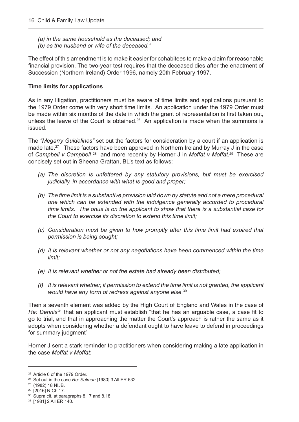- *(a) in the same household as the deceased; and*
- *(b) as the husband or wife of the deceased."*

The effect of this amendment is to make it easier for cohabitees to make a claim for reasonable financial provision. The two-year test requires that the deceased dies after the enactment of Succession (Northern Ireland) Order 1996, namely 20th February 1997.

#### **Time limits for applications**

As in any litigation, practitioners must be aware of time limits and applications pursuant to the 1979 Order come with very short time limits. An application under the 1979 Order must be made within six months of the date in which the grant of representation is first taken out, unless the leave of the Court is obtained.<sup>26</sup> An application is made when the summons is issued.

The *"Megarry Guidelines"* set out the factors for consideration by a court if an application is made late.<sup>27</sup> These factors have been approved in Northern Ireland by Murray J in the case of *Campbell v Campbell* 28 and more recently by Horner J in *Moffat v Moffat*. 29 These are concisely set out in Sheena Grattan, BL's text as follows:

- *(a) The discretion is unfettered by any statutory provisions, but must be exercised judicially, in accordance with what is good and proper;*
- *(b) The time limit is a substantive provision laid down by statute and not a mere procedural one which can be extended with the indulgence generally accorded to procedural time limits. The onus is on the applicant to show that there is a substantial case for the Court to exercise its discretion to extend this time limit;*
- *(c) Consideration must be given to how promptly after this time limit had expired that permission is being sought;*
- *(d) It is relevant whether or not any negotiations have been commenced within the time limit;*
- *(e) It is relevant whether or not the estate had already been distributed;*
- *(f) It is relevant whether, if permission to extend the time limit is not granted, the applicant would have any form of redress against anyone else.*<sup>30</sup>

Then a seventh element was added by the High Court of England and Wales in the case of *Re: Dennis*<sup>31</sup> that an applicant must establish "that he has an arguable case, a case fit to go to trial, and that in approaching the matter the Court's approach is rather the same as it adopts when considering whether a defendant ought to have leave to defend in proceedings for summary judgment"

Horner J sent a stark reminder to practitioners when considering making a late application in the case *Moffat v Moffat*:

<sup>26</sup> Article 6 of the 1979 Order.

<sup>27</sup> Set out in the case *Re: Salmon* [1980] 3 All ER 532.

<sup>28</sup> (1982) 18 NIJB.

<sup>29</sup> [2016] NICh 17.

<sup>&</sup>lt;sup>30</sup> Supra cit, at paragraphs 8.17 and 8.18.

<sup>31</sup> [1981] 2 All ER 140.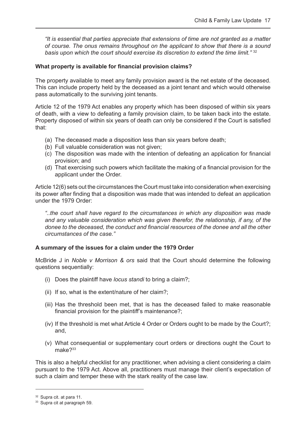*"It is essential that parties appreciate that extensions of time are not granted as a matter of course. The onus remains throughout on the applicant to show that there is a sound*  basis upon which the court should exercise its discretion to extend the time limit."<sup>32</sup>

#### **What property is available for financial provision claims?**

The property available to meet any family provision award is the net estate of the deceased. This can include property held by the deceased as a joint tenant and which would otherwise pass automatically to the surviving joint tenants.

Article 12 of the 1979 Act enables any property which has been disposed of within six years of death, with a view to defeating a family provision claim, to be taken back into the estate. Property disposed of within six years of death can only be considered if the Court is satisfied that:

- (a) The deceased made a disposition less than six years before death;
- (b) Full valuable consideration was not given;
- (c) The disposition was made with the intention of defeating an application for financial provision; and
- (d) That exercising such powers which facilitate the making of a financial provision for the applicant under the Order.

Article 12(6) sets out the circumstances the Court must take into consideration when exercising its power after finding that a disposition was made that was intended to defeat an application under the 1979 Order:

 *"..the court shall have regard to the circumstances in which any disposition was made and any valuable consideration which was given therefor, the relationship, if any, of the donee to the deceased, the conduct and financial resources of the donee and all the other circumstances of the case."*

#### **A summary of the issues for a claim under the 1979 Order**

McBride J in *Noble v Morrison & ors* said that the Court should determine the following questions sequentially:

- (i) Does the plaintiff have *locus standi* to bring a claim?;
- (ii) If so, what is the extent/nature of her claim?;
- (iii) Has the threshold been met, that is has the deceased failed to make reasonable financial provision for the plaintiff's maintenance?;
- (iv) If the threshold is met what Article 4 Order or Orders ought to be made by the Court?; and,
- (v) What consequential or supplementary court orders or directions ought the Court to make<sup>733</sup>

This is also a helpful checklist for any practitioner, when advising a client considering a claim pursuant to the 1979 Act. Above all, practitioners must manage their client's expectation of such a claim and temper these with the stark reality of the case law.

<sup>32</sup> Supra cit. at para 11.

<sup>33</sup> Supra cit at paragraph 59.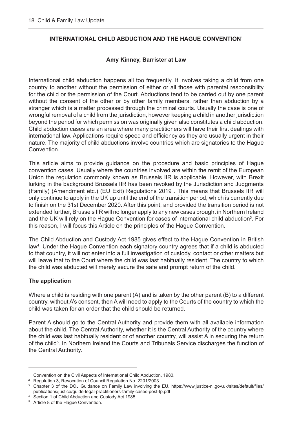#### <span id="page-18-0"></span>**INTERNATIONAL CHILD ABDUCTION AND THE HAGUE CONVENTION1**

#### **Amy Kinney, Barrister at Law**

International child abduction happens all too frequently. It involves taking a child from one country to another without the permission of either or all those with parental responsibility for the child or the permission of the Court. Abductions tend to be carried out by one parent without the consent of the other or by other family members, rather than abduction by a stranger which is a matter processed through the criminal courts. Usually the case is one of wrongful removal of a child from the jurisdiction, however keeping a child in another jurisdiction beyond the period for which permission was originally given also constitutes a child abduction. Child abduction cases are an area where many practitioners will have their first dealings with international law. Applications require speed and efficiency as they are usually urgent in their nature. The majority of child abductions involve countries which are signatories to the Hague **Convention** 

This article aims to provide guidance on the procedure and basic principles of Hague convention cases. Usually where the countries involved are within the remit of the European Union the regulation commonly known as Brussels IIR is applicable. However, with Brexit lurking in the background Brussels IIR has been revoked by the Jurisdiction and Judgments (Family) (Amendment etc.) (EU Exit) Regulations 2019 . This means that Brussels IIR will only continue to apply in the UK up until the end of the transition period, which is currently due to finish on the 31st December 2020. After this point, and provided the transition period is not extended further, Brussels IIR will no longer apply to any new cases brought in Northern Ireland and the UK will rely on the Hague Convention for cases of international child abduction<sup>3</sup>. For this reason, I will focus this Article on the principles of the Hague Convention.

The Child Abduction and Custody Act 1985 gives effect to the Hague Convention in British law4 . Under the Hague Convention each signatory country agrees that if a child is abducted to that country, it will not enter into a full investigation of custody, contact or other matters but will leave that to the Court where the child was last habitually resident. The country to which the child was abducted will merely secure the safe and prompt return of the child.

#### **The application**

Where a child is residing with one parent (A) and is taken by the other parent (B) to a different country, without A's consent, then A will need to apply to the Courts of the country to which the child was taken for an order that the child should be returned.

Parent A should go to the Central Authority and provide them with all available information about the child. The Central Authority, whether it is the Central Authority of the country where the child was last habitually resident or of another country, will assist A in securing the return of the child<sup>5</sup>. In Northern Ireland the Courts and Tribunals Service discharges the function of the Central Authority.

<sup>&</sup>lt;sup>1</sup> Convention on the Civil Aspects of International Child Abduction, 1980.

<sup>2</sup> Regulation 3, Revocation of Council Regulation No. 2201/2003.

<sup>&</sup>lt;sup>3</sup> [Chapter 3 of the DOJ Guidance on Family Law involving the EU, https://www.justice-ni.gov.uk/sites/default/files/](https://www.justice-ni.gov.uk/sites/default/files/publications/justice/guide-legal-practitioners-family-cases-post-tp.pdf) publications/justice/guide-legal-practitioners-family-cases-post-tp.pdf

<sup>4</sup> Section 1 of Child Abduction and Custody Act 1985.

<sup>5</sup> Article 8 of the Hague Convention.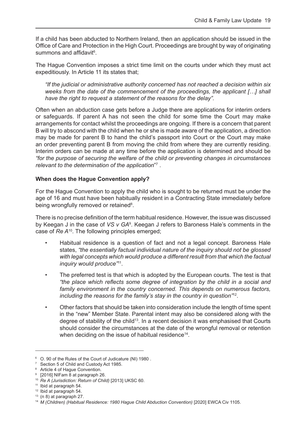If a child has been abducted to Northern Ireland, then an application should be issued in the Office of Care and Protection in the High Court. Proceedings are brought by way of originating summons and affidavit<sup>6</sup>.

The Hague Convention imposes a strict time limit on the courts under which they must act expeditiously. In Article 11 its states that;

 *"If the judicial or administrative authority concerned has not reached a decision within six weeks from the date of the commencement of the proceedings, the applicant […] shall have the right to request a statement of the reasons for the delay".* 

Often when an abduction case gets before a Judge there are applications for interim orders or safeguards. If parent A has not seen the child for some time the Court may make arrangements for contact whilst the proceedings are ongoing. If there is a concern that parent B will try to abscond with the child when he or she is made aware of the application, a direction may be made for parent B to hand the child's passport into Court or the Court may make an order preventing parent B from moving the child from where they are currently residing. Interim orders can be made at any time before the application is determined and should be *"for the purpose of securing the welfare of the child or preventing changes in circumstances*  relevant to the determination of the application"<sup>7</sup>.

#### **When does the Hague Convention apply?**

For the Hague Convention to apply the child who is sought to be returned must be under the age of 16 and must have been habitually resident in a Contracting State immediately before being wrongfully removed or retained<sup>8</sup>.

There is no precise definition of the term habitual residence. However, the issue was discussed by Keegan J in the case of *VS v GA*<sup>9</sup>. Keegan J refers to Baroness Hale's comments in the case of *Re A*10. The following principles emerged;

- Habitual residence is a question of fact and not a legal concept. Baroness Hale states, *"the essentially factual individual nature of the inquiry should not be glossed with legal concepts which would produce a different result from that which the factual inquiry would produce"*11.
- The preferred test is that which is adopted by the European courts. The test is that *"the place which reflects some degree of integration by the child in a social and family environment in the country concerned. This depends on numerous factors, including the reasons for the family's stay in the country in question"*12.
- Other factors that should be taken into consideration include the length of time spent in the "new" Member State. Parental intent may also be considered along with the degree of stability of the child<sup>13</sup>. In a recent decision it was emphasised that Courts should consider the circumstances at the date of the wrongful removal or retention when deciding on the issue of habitual residence<sup>14</sup>.

<sup>6</sup> O. 90 of the Rules of the Court of Judicature (NI) 1980 .

<sup>&</sup>lt;sup>7</sup> Section 5 of Child and Custody Act 1985.

<sup>8</sup> Article 4 of Hague Convention.

<sup>9</sup> [2016] NIFam 8 at paragraph 26.

<sup>10</sup> *Re A (Jurisdiction: Return of Child)* [2013] UKSC 60.

<sup>11</sup> Ibid at paragraph 54.

<sup>&</sup>lt;sup>12</sup> Ibid at paragraph 54.

 $13$  (n 8) at paragraph 27.

<sup>14</sup> *M (Children) (Habitual Residence: 1980 Hague Child Abduction Convention)* [2020] EWCA Civ 1105.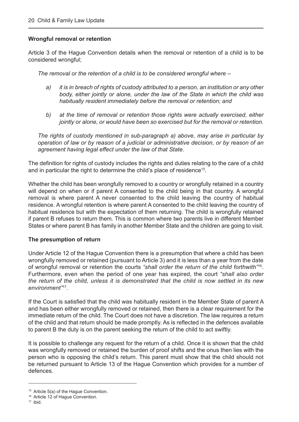#### **Wrongful removal or retention**

Article 3 of the Hague Convention details when the removal or retention of a child is to be considered wrongful;

*The removal or the retention of a child is to be considered wrongful where –* 

- *a) it is in breach of rights of custody attributed to a person, an institution or any other body, either jointly or alone, under the law of the State in which the child was habitually resident immediately before the removal or retention; and*
- *b) at the time of removal or retention those rights were actually exercised, either jointly or alone, or would have been so exercised but for the removal or retention.*

 *The rights of custody mentioned in sub-paragraph a) above, may arise in particular by operation of law or by reason of a judicial or administrative decision, or by reason of an agreement having legal effect under the law of that State.* 

The definition for rights of custody includes the rights and duties relating to the care of a child and in particular the right to determine the child's place of residence<sup>15</sup>.

Whether the child has been wrongfully removed to a country or wrongfully retained in a country will depend on when or if parent A consented to the child being in that country. A wrongful removal is where parent A never consented to the child leaving the country of habitual residence. A wrongful retention is where parent A consented to the child leaving the country of habitual residence but with the expectation of them returning. The child is wrongfully retained if parent B refuses to return them. This is common where two parents live in different Member States or where parent B has family in another Member State and the children are going to visit.

#### **The presumption of return**

Under Article 12 of the Hague Convention there is a presumption that where a child has been wrongfully removed or retained (pursuant to Article 3) and it is less than a year from the date of wrongful removal or retention the courts *"shall order the return of the child forthwith"*16. Furthermore, even when the period of one year has expired, the court *"shall also order the return of the child, unless it is demonstrated that the child is now settled in its new environment"*17.

If the Court is satisfied that the child was habitually resident in the Member State of parent A and has been either wrongfully removed or retained, then there is a clear requirement for the immediate return of the child. The Court does not have a discretion. The law requires a return of the child and that return should be made promptly. As is reflected in the defences available to parent B the duty is on the parent seeking the return of the child to act swiftly.

It is possible to challenge any request for the return of a child. Once it is shown that the child was wrongfully removed or retained the burden of proof shifts and the onus then lies with the person who is opposing the child's return. This parent must show that the child should not be returned pursuant to Article 13 of the Hague Convention which provides for a number of defences.

<sup>&</sup>lt;sup>15</sup> Article 5(a) of the Hague Convention.

<sup>&</sup>lt;sup>16</sup> Article 12 of Hague Convention.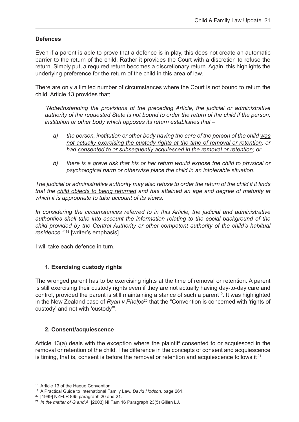#### **Defences**

Even if a parent is able to prove that a defence is in play, this does not create an automatic barrier to the return of the child. Rather it provides the Court with a discretion to refuse the return. Simply put, a required return becomes a discretionary return. Again, this highlights the underlying preference for the return of the child in this area of law.

There are only a limited number of circumstances where the Court is not bound to return the child. Article 13 provides that;

 *"Notwithstanding the provisions of the preceding Article, the judicial or administrative authority of the requested State is not bound to order the return of the child if the person, institution or other body which opposes its return establishes that –*

- *a) the person, institution or other body having the care of the person of the child was not actually exercising the custody rights at the time of removal or retention, or had consented to or subsequently acquiesced in the removal or retention; or*
- *b) there is a grave risk that his or her return would expose the child to physical or psychological harm or otherwise place the child in an intolerable situation.*

*The judicial or administrative authority may also refuse to order the return of the child if it finds that the child objects to being returned and has attained an age and degree of maturity at which it is appropriate to take account of its views.*

*In considering the circumstances referred to in this Article, the judicial and administrative authorities shall take into account the information relating to the social background of the child provided by the Central Authority or other competent authority of the child's habitual residence."* <sup>18</sup> [writer's emphasis].

I will take each defence in turn.

#### **1. Exercising custody rights**

The wronged parent has to be exercising rights at the time of removal or retention. A parent is still exercising their custody rights even if they are not actually having day-to-day care and control, provided the parent is still maintaining a stance of such a parent<sup>19</sup>. It was highlighted in the New Zealand case of *Ryan v Phelps*<sup>20</sup> that the "Convention is concerned with 'rights of custody' and not with 'custody'".

#### **2. Consent/acquiescence**

Article 13(a) deals with the exception where the plaintiff consented to or acquiesced in the removal or retention of the child. The difference in the concepts of consent and acquiescence is timing, that is, consent is before the removal or retention and acquiescence follows it  $2^1$ .

<sup>&</sup>lt;sup>18</sup> Article 13 of the Hague Convention

<sup>19</sup> A Practical Guide to International Family Law, *David Hodson*, page 261.

<sup>20</sup> [1999] NZFLR 865 paragraph 20 and 21.

<sup>21</sup> *In the matter of G and A*, [2003] NI Fam 16 Paragraph 23(5) Gillen LJ.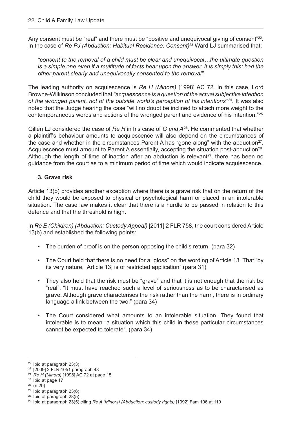Any consent must be "real" and there must be "positive and unequivocal giving of consent"<sup>22</sup>. In the case of *Re PJ (Abduction: Habitual Residence: Consent)*23 Ward LJ summarised that;

*"consent to the removal of a child must be clear and unequivocal…the ultimate question is a simple one even if a multitude of facts bear upon the answer. It is simply this: had the other parent clearly and unequivocally consented to the removal".* 

The leading authority on acquiescence is *Re H (Minors)* [1998] AC 72. In this case, Lord Browne-Wilkinson concluded that *"acquiescence is a question of the actual subjective intention*  of the wronged parent, not of the outside world's perception of his intentions<sup>"24</sup>. It was also noted that the Judge hearing the case "will no doubt be inclined to attach more weight to the contemporaneous words and actions of the wronged parent and evidence of his intention."25

Gillen LJ considered the case of *Re H* in his case of *G and A*26. He commented that whether a plaintiff's behaviour amounts to acquiescence will also depend on the circumstances of the case and whether in the circumstances Parent A has "gone along" with the abduction<sup>27</sup>. Acquiescence must amount to Parent A essentially, accepting the situation post-abduction<sup>28</sup>. Although the length of time of inaction after an abduction is relevant<sup>29</sup>, there has been no guidance from the court as to a minimum period of time which would indicate acquiescence.

#### **3. Grave risk**

Article 13(b) provides another exception where there is a grave risk that on the return of the child they would be exposed to physical or psychological harm or placed in an intolerable situation. The case law makes it clear that there is a hurdle to be passed in relation to this defence and that the threshold is high.

In *Re E (Children) (Abduction: Custody Appeal)* [2011] 2 FLR 758, the court considered Article 13(b) and established the following points:

- The burden of proof is on the person opposing the child's return. (para 32)
- The Court held that there is no need for a "gloss" on the wording of Article 13. That "by its very nature, [Article 13] is of restricted application".(para 31)
- They also held that the risk must be "grave" and that it is not enough that the risk be "real". "It must have reached such a level of seriousness as to be characterised as grave. Although grave characterises the risk rather than the harm, there is in ordinary language a link between the two." (para 34)
- The Court considered what amounts to an intolerable situation. They found that intolerable is to mean "a situation which this child in these particular circumstances cannot be expected to tolerate". (para 34)

<sup>22</sup> Ibid at paragraph 23(3)

<sup>23</sup> [2009] 2 FLR 1051 paragraph 48

<sup>&</sup>lt;sup>24</sup> *Re H (Minors)* [1998] AC 72 at page 15<br><sup>25</sup> Ibid at page 17<br><sup>26</sup> (n 20)<br><sup>27</sup> Ibid at paragraph 23(6)

<sup>28</sup> Ibid at paragraph 23(5)

<sup>29</sup> Ibid at paragraph 23(5) citing *Re A (Minors) (Abduction: custody rights)* [1992] Fam 106 at 119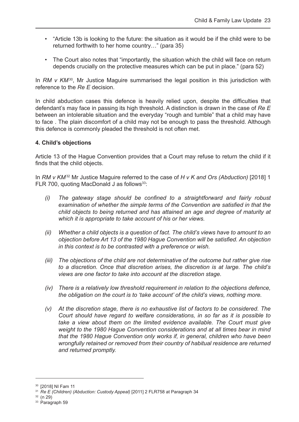- "Article 13b is looking to the future: the situation as it would be if the child were to be returned forthwith to her home country…" (para 35)
- The Court also notes that "importantly, the situation which the child will face on return depends crucially on the protective measures which can be put in place." (para 52)

In *RM v KM*<sup>30</sup>, Mr Justice Maguire summarised the legal position in this jurisdiction with reference to the *Re E* decision.

In child abduction cases this defence is heavily relied upon, despite the difficulties that defendant's may face in passing its high threshold. A distinction is drawn in the case of *Re E* between an intolerable situation and the everyday "rough and tumble" that a child may have to face . The plain discomfort of a child may not be enough to pass the threshold. Although this defence is commonly pleaded the threshold is not often met.

#### **4. Child's objections**

Article 13 of the Hague Convention provides that a Court may refuse to return the child if it finds that the child objects.

In *RM v KM*32 Mr Justice Maguire referred to the case of *H v K and Ors (Abduction)* [2018] 1 FLR 700, quoting MacDonald J as follows<sup>33</sup>:

- *(i) The gateway stage should be confined to a straightforward and fairly robust examination of whether the simple terms of the Convention are satisfied in that the child objects to being returned and has attained an age and degree of maturity at which it is appropriate to take account of his or her views.*
- *(ii) Whether a child objects is a question of fact. The child's views have to amount to an objection before Art 13 of the 1980 Hague Convention will be satisfied. An objection in this context is to be contrasted with a preference or wish.*
- *(iii) The objections of the child are not determinative of the outcome but rather give rise to a discretion. Once that discretion arises, the discretion is at large. The child's views are one factor to take into account at the discretion stage.*
- *(iv) There is a relatively low threshold requirement in relation to the objections defence, the obligation on the court is to 'take account' of the child's views, nothing more.*
- *(v) At the discretion stage, there is no exhaustive list of factors to be considered. The Court should have regard to welfare considerations, in so far as it is possible to take a view about them on the limited evidence available. The Court must give weight to the 1980 Hague Convention considerations and at all times bear in mind that the 1980 Hague Convention only works if, in general, children who have been wrongfully retained or removed from their country of habitual residence are returned and returned promptly.*

<sup>30</sup> [2018] NI Fam 11

<sup>31</sup> *Re E (Children) (Abduction: Custody Appeal)* [2011] 2 FLR758 at Paragraph 34

<sup>33</sup> Paragraph 59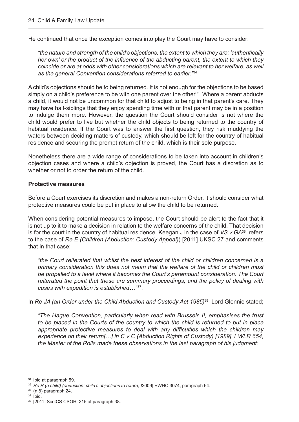He continued that once the exception comes into play the Court may have to consider:

 *"the nature and strength of the child's objections, the extent to which they are: 'authentically her own' or the product of the influence of the abducting parent, the extent to which they coincide or are at odds with other considerations which are relevant to her welfare, as well as the general Convention considerations referred to earlier."*<sup>34</sup>

A child's objections should be to being returned. It is not enough for the objections to be based simply on a child's preference to be with one parent over the other<sup>35</sup>. Where a parent abducts a child, it would not be uncommon for that child to adjust to being in that parent's care. They may have half-siblings that they enjoy spending time with or that parent may be in a position to indulge them more. However, the question the Court should consider is not where the child would prefer to live but whether the child objects to being returned to the country of habitual residence. If the Court was to answer the first question, they risk muddying the waters between deciding matters of custody, which should be left for the country of habitual residence and securing the prompt return of the child, which is their sole purpose.

Nonetheless there are a wide range of considerations to be taken into account in children's objection cases and where a child's objection is proved, the Court has a discretion as to whether or not to order the return of the child.

#### **Protective measures**

Before a Court exercises its discretion and makes a non-return Order, it should consider what protective measures could be put in place to allow the child to be returned.

When considering potential measures to impose, the Court should be alert to the fact that it is not up to it to make a decision in relation to the welfare concerns of the child. That decision is for the court in the country of habitual residence. Keegan J in the case of *VS v GA*36 refers to the case of *Re E (Children (Abduction: Custody Appeal)*) [2011] UKSC 27 and comments that in that case;

*"the Court reiterated that whilst the best interest of the child or children concerned is a primary consideration this does not mean that the welfare of the child or children must be propelled to a level where it becomes the Court's paramount consideration. The Court reiterated the point that these are summary proceedings, and the policy of dealing with cases with expedition is established...*"<sup>37</sup>.

In *Re JA (an Order under the Child Abduction and Custody Act 1985)*<sup>38</sup> Lord Glennie stated;

 *"The Hague Convention, particularly when read with Brussels II, emphasises the trust to be placed in the Courts of the country to which the child is returned to put in place appropriate protective measures to deal with any difficulties which the children may experience on their return[…] in C v C (Abduction Rights of Custody) [1989] 1 WLR 654, the Master of the Rolls made these observations in the last paragraph of his judgment:*

<sup>&</sup>lt;sup>34</sup> Ibid at paragraph 59.<br><sup>35</sup> *Re R (a child) (abduction: child's objections to return) [*2009] EWHC 3074, paragraph 64.

 $\frac{36}{37}$  (n 8) paragraph 24.<br> $\frac{37}{37}$  Ibid.<br> $\frac{38}{32}$  [2011] ScotCS CSOH\_215 at paragraph 38.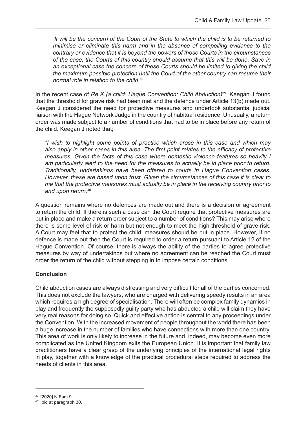*'It will be the concern of the Court of the State to which the child is to be returned to minimise or eliminate this harm and in the absence of compelling evidence to the contrary or evidence that it is beyond the powers of those Courts in the circumstances of the case, the Courts of this country should assume that this will be done. Save in an exceptional case the concern of these Courts should be limited to giving the child the maximum possible protection until the Court of the other country can resume their normal role in relation to the child.'"*

In the recent case of *Re K (a child: Hague Convention: Child Abduction)*39, Keegan J found that the threshold for grave risk had been met and the defence under Article 13(b) made out. Keegan J considered the need for protective measures and undertook substantial judicial liaison with the Hague Network Judge in the country of habitual residence. Unusually, a return order was made subject to a number of conditions that had to be in place before any return of the child. Keegan J noted that;

 *"I wish to highlight some points of practice which arose in this case and which may also apply in other cases in this area. The first point relates to the efficacy of protective measures. Given the facts of this case where domestic violence features so heavily I am particularly alert to the need for the measures to actually be in place prior to return. Traditionally, undertakings have been offered to courts in Hague Convention cases. However, these are based upon trust. Given the circumstances of this case it is clear to me that the protective measures must actually be in place in the receiving country prior to and upon return.*<sup>40</sup>

A question remains where no defences are made out and there is a decision or agreement to return the child. If there is such a case can the Court require that protective measures are put in place and make a return order subject to a number of conditions? This may arise where there is some level of risk or harm but not enough to meet the high threshold of grave risk. A Court may feel that to protect the child, measures should be put in place. However, if no defence is made out then the Court is required to order a return pursuant to Article 12 of the Hague Convention. Of course, there is always the ability of the parties to agree protective measures by way of undertakings but where no agreement can be reached the Court must order the return of the child without stepping in to impose certain conditions.

#### **Conclusion**

Child abduction cases are always distressing and very difficult for all of the parties concerned. This does not exclude the lawyers, who are charged with delivering speedy results in an area which requires a high degree of specialisation. There will often be complex family dynamics in play and frequently the supposedly guilty party who has abducted a child will claim they have very real reasons for doing so. Quick and effective action is central to any proceedings under the Convention. With the increased movement of people throughout the world there has been a huge increase in the number of families who have connections with more than one country. This area of work is only likely to increase in the future and, indeed, may become even more complicated as the United Kingdom exits the European Union. It is important that family law practitioners have a clear grasp of the underlying principles of the international legal rights in play, together with a knowledge of the practical procedural steps required to address the needs of clients in this area.

<sup>39</sup> [2020] NIFam 9.

<sup>40</sup> Ibid at paragraph 30.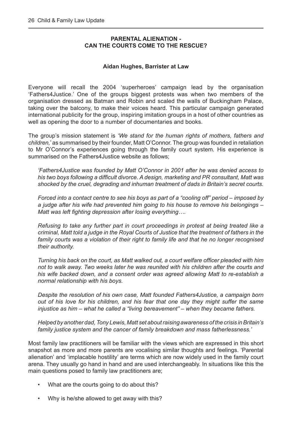#### **PARENTAL ALIENATION - CAN THE COURTS COME TO THE RESCUE?**

#### **Aidan Hughes, Barrister at Law**

<span id="page-26-0"></span>Everyone will recall the 2004 'superheroes' campaign lead by the organisation 'Fathers4Justice.' One of the groups biggest protests was when two members of the organisation dressed as Batman and Robin and scaled the walls of Buckingham Palace, taking over the balcony, to make their voices heard. This particular campaign generated international publicity for the group, inspiring imitation groups in a host of other countries as well as opening the door to a number of documentaries and books.

The group's mission statement is *'We stand for the human rights of mothers, fathers and children,*' as summarised by their founder, Matt O'Connor. The group was founded in retaliation to Mr O'Connor's experiences going through the family court system. His experience is summarised on the Fathers4Justice website as follows;

 *'Fathers4Justice was founded by Matt O'Connor in 2001 after he was denied access to his two boys following a difficult divorce. A design, marketing and PR consultant, Matt was shocked by the cruel, degrading and inhuman treatment of dads in Britain's secret courts.*

 *Forced into a contact centre to see his boys as part of a "cooling off" period – imposed by a judge after his wife had prevented him going to his house to remove his belongings – Matt was left fighting depression after losing everything….* 

 *Refusing to take any further part in court proceedings in protest at being treated like a criminal, Matt told a judge in the Royal Courts of Justice that the treatment of fathers in the family courts was a violation of their right to family life and that he no longer recognised their authority.*

*Turning his back on the court, as Matt walked out, a court welfare officer pleaded with him not to walk away. Two weeks later he was reunited with his children after the courts and his wife backed down, and a consent order was agreed allowing Matt to re-establish a normal relationship with his boys.*

 *Despite the resolution of his own case, Matt founded Fathers4Justice, a campaign born out of his love for his children, and his fear that one day they might suffer the same injustice as him – what he called a "living bereavement" – when they became fathers.*

 *Helped by another dad, Tony Lewis, Matt set about raising awareness of the crisis in Britain's family justice system and the cancer of family breakdown and mass fatherlessness.'* 

Most family law practitioners will be familiar with the views which are expressed in this short snapshot as more and more parents are vocalising similar thoughts and feelings. 'Parental alienation' and 'implacable hostility' are terms which are now widely used in the family court arena. They usually go hand in hand and are used interchangeably. In situations like this the main questions posed to family law practitioners are;

- What are the courts going to do about this?
- Why is he/she allowed to get away with this?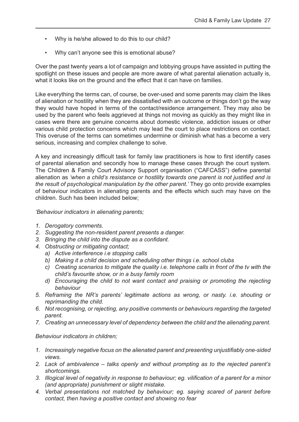- Why is he/she allowed to do this to our child?
- Why can't anyone see this is emotional abuse?

Over the past twenty years a lot of campaign and lobbying groups have assisted in putting the spotlight on these issues and people are more aware of what parental alienation actually is, what it looks like on the ground and the effect that it can have on families.

Like everything the terms can, of course, be over-used and some parents may claim the likes of alienation or hostility when they are dissatisfied with an outcome or things don't go the way they would have hoped in terms of the contact/residence arrangement. They may also be used by the parent who feels aggrieved at things not moving as quickly as they might like in cases were there are genuine concerns about domestic violence, addiction issues or other various child protection concerns which may lead the court to place restrictions on contact. This overuse of the terms can sometimes undermine or diminish what has a become a very serious, increasing and complex challenge to solve.

A key and increasingly difficult task for family law practitioners is how to first identify cases of parental alienation and secondly how to manage these cases through the court system. The Children & Family Court Advisory Support organisation ("CAFCASS") define parental alienation as *'when a child's resistance or hostility towards one parent is not justified and is the result of psychological manipulation by the other parent.'* They go onto provide examples of behaviour indicators in alienating parents and the effects which such may have on the children. Such has been included below;

*'Behaviour indicators in alienating parents;* 

- *1. Derogatory comments.*
- *2. Suggesting the non-resident parent presents a danger.*
- *3. Bringing the child into the dispute as a confidant.*
- *4. Obstructing or mitigating contact;*
	- *a) Active interference i.e stopping calls*
	- *b) Making it a child decision and scheduling other things i.e. school clubs*
	- *c) Creating scenarios to mitigate the quality i.e. telephone calls in front of the tv with the child's favourite show, or in a busy family room*
	- *d)* Encouraging the child to not want contact and praising or promoting the rejecting *behaviour*
- *5. Reframing the NR's parents' legitimate actions as wrong, or nasty. i.e. shouting or reprimanding the child.*
- *6. Not recognising, or rejecting, any positive comments or behaviours regarding the targeted parent.*
- *7. Creating an unnecessary level of dependency between the child and the alienating parent.*

*Behaviour indicators in children;* 

- *1. Increasingly negative focus on the alienated parent and presenting unjustifiably one-sided views.*
- *2. Lack of ambivalence talks openly and without prompting as to the rejected parent's shortcomings.*
- *3. Illogical level of negativity in response to behaviour; eg. vilification of a parent for a minor (and appropriate) punishment or slight mistake.*
- *4. Verbal presentations not matched by behaviour; eg. saying scared of parent before contact, then having a positive contact and showing no fear*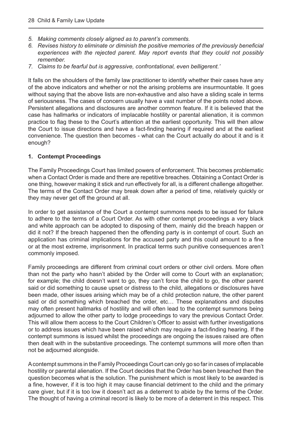- *5. Making comments closely aligned as to parent's comments.*
- *6. Revises history to eliminate or diminish the positive memories of the previously beneficial experiences with the rejected parent. May report events that they could not possibly remember.*
- *7. Claims to be fearful but is aggressive, confrontational, even belligerent.'*

It falls on the shoulders of the family law practitioner to identify whether their cases have any of the above indicators and whether or not the arising problems are insurmountable. It goes without saying that the above lists are non-exhaustive and also have a sliding scale in terms of seriousness. The cases of concern usually have a vast number of the points noted above. Persistent allegations and disclosures are another common feature. If it is believed that the case has hallmarks or indicators of implacable hostility or parental alienation, it is common practice to flag these to the Court's attention at the earliest opportunity. This will then allow the Court to issue directions and have a fact-finding hearing if required and at the earliest convenience. The question then becomes - what can the Court actually do about it and is it enough?

#### **1. Contempt Proceedings**

The Family Proceedings Court has limited powers of enforcement. This becomes problematic when a Contact Order is made and there are repetitive breaches. Obtaining a Contact Order is one thing, however making it stick and run effectively for all, is a different challenge altogether. The terms of the Contact Order may break down after a period of time, relatively quickly or they may never get off the ground at all.

In order to get assistance of the Court a contempt summons needs to be issued for failure to adhere to the terms of a Court Order. As with other contempt proceedings a very black and white approach can be adopted to disposing of them, mainly did the breach happen or did it not? If the breach happened then the offending party is in contempt of court. Such an application has criminal implications for the accused party and this could amount to a fine or at the most extreme, imprisonment. In practical terms such punitive consequences aren't commonly imposed.

Family proceedings are different from criminal court orders or other civil orders. More often than not the party who hasn't abided by the Order will come to Court with an explanation; for example; the child doesn't want to go, they can't force the child to go, the other parent said or did something to cause upset or distress to the child, allegations or disclosures have been made, other issues arising which may be of a child protection nature, the other parent said or did something which breached the order, etc… These explanations and disputes may often present hallmarks of hostility and will often lead to the contempt summons being adjourned to allow the other party to lodge proceedings to vary the previous Contact Order. This will allow them access to the Court Children's Officer to assist with further investigations or to address issues which have been raised which may require a fact-finding hearing. If the contempt summons is issued whilst the proceedings are ongoing the issues raised are often then dealt with in the substantive proceedings. The contempt summons will more often than not be adjourned alongside.

A contempt summons in the Family Proceedings Court can only go so far in cases of implacable hostility or parental alienation. If the Court decides that the Order has been breached then the question becomes what is the solution. The punishment which is most likely to be awarded is a fine, however, if it is too high it may cause financial detriment to the child and the primary care giver, but if it is too low it doesn't act as a deterrent to abide by the terms of the Order. The thought of having a criminal record is likely to be more of a deterrent in this respect. This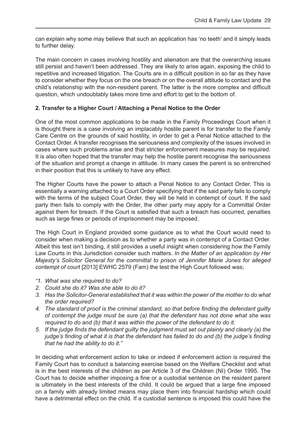can explain why some may believe that such an application has 'no teeth' and it simply leads to further delay.

The main concern in cases involving hostility and alienation are that the overarching issues still persist and haven't been addressed. They are likely to arise again, exposing the child to repetitive and increased litigation. The Courts are in a difficult position in so far as they have to consider whether they focus on the one breach or on the overall attitude to contact and the child's relationship with the non-resident parent. The latter is the more complex and difficult question, which undoubtably takes more time and effort to get to the bottom of.

#### **2. Transfer to a Higher Court / Attaching a Penal Notice to the Order**

One of the most common applications to be made in the Family Proceedings Court when it is thought there is a case involving an implacably hostile parent is for transfer to the Family Care Centre on the grounds of said hostility, in order to get a Penal Notice attached to the Contact Order. A transfer recognises the seriousness and complexity of the issues involved in cases where such problems arise and that stricter enforcement measures may be required. It is also often hoped that the transfer may help the hostile parent recognise the seriousness of the situation and prompt a change in attitude. In many cases the parent is so entrenched in their position that this is unlikely to have any effect.

The Higher Courts have the power to attach a Penal Notice to any Contact Order. This is essentially a warning attached to a Court Order specifying that if the said party fails to comply with the terms of the subject Court Order, they will be held in contempt of court. If the said party then fails to comply with the Order, the other party may apply for a Committal Order against them for breach. If the Court is satisfied that such a breach has occurred, penalties such as large fines or periods of imprisonment may be imposed.

The High Court in England provided some guidance as to what the Court would need to consider when making a decision as to whether a party was in contempt of a Contact Order. Albeit this test isn't binding, it still provides a useful insight when considering how the Family Law Courts in this Jurisdiction consider such matters. *In the Matter of an application by Her Majesty's Solicitor General for the committal to prison of Jennifer Marie Jones for alleged contempt of court* [2013] EWHC 2579 (Fam) the test the High Court followed was;

- *"1. What was she required to do?*
- *2. Could she do it? Was she able to do it?*
- *3. Has the Solicitor-General established that it was within the power of the mother to do what the order required?*
- *4. The standard of proof is the criminal standard, so that before finding the defendant guilty of contempt the judge must be sure (a) that the defendant has not done what she was required to do and (b) that it was within the power of the defendant to do it.*
- *5. If the judge finds the defendant guilty the judgment must set out plainly and clearly (a) the judge's finding of what it is that the defendant has failed to do and (b) the judge's finding that he had the ability to do it."*

In deciding what enforcement action to take or indeed if enforcement action is required the Family Court has to conduct a balancing exercise based on the Welfare Checklist and what is in the best interests of the children as per Article 3 of the Children (NI) Order 1995. The Court has to decide whether imposing a fine or a custodial sentence on the resident parent is ultimately in the best interests of the child. It could be argued that a large fine imposed on a family with already limited means may place them into financial hardship which could have a detrimental effect on the child. If a custodial sentence is imposed this could have the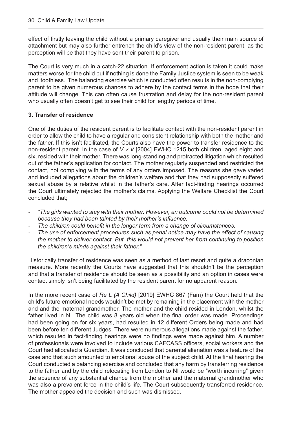effect of firstly leaving the child without a primary caregiver and usually their main source of attachment but may also further entrench the child's view of the non-resident parent, as the perception will be that they have sent their parent to prison.

The Court is very much in a catch-22 situation. If enforcement action is taken it could make matters worse for the child but if nothing is done the Family Justice system is seen to be weak and 'toothless.' The balancing exercise which is conducted often results in the non-complying parent to be given numerous chances to adhere by the contact terms in the hope that their attitude will change. This can often cause frustration and delay for the non-resident parent who usually often doesn't get to see their child for lengthy periods of time.

#### **3. Transfer of residence**

One of the duties of the resident parent is to facilitate contact with the non-resident parent in order to allow the child to have a regular and consistent relationship with both the mother and the father. If this isn't facilitated, the Courts also have the power to transfer residence to the non-resident parent. In the case of *V v V* [2004] EWHC 1215 both children, aged eight and six, resided with their mother. There was long-standing and protracted litigation which resulted out of the father's application for contact. The mother regularly suspended and restricted the contact, not complying with the terms of any orders imposed. The reasons she gave varied and included allegations about the children's welfare and that they had supposedly suffered sexual abuse by a relative whilst in the father's care. After fact-finding hearings occurred the Court ultimately rejected the mother's claims. Applying the Welfare Checklist the Court concluded that;

- *"The girls wanted to stay with their mother. However, an outcome could not be determined because they had been tainted by their mother's influence.*
- *- The children could benefit in the longer term from a change of circumstances.*
- *The use of enforcement procedures such as penal notice may have the effect of causing the mother to deliver contact. But, this would not prevent her from continuing to position the children's minds against their father."*

Historically transfer of residence was seen as a method of last resort and quite a draconian measure. More recently the Courts have suggested that this shouldn't be the perception and that a transfer of residence should be seen as a possibility and an option in cases were contact simply isn't being facilitated by the resident parent for no apparent reason.

In the more recent case of *Re L (A Child)* [2019] EWHC 867 (Fam) the Court held that the child's future emotional needs wouldn't be met by remaining in the placement with the mother and and the maternal grandmother. The mother and the child resided in London, whilst the father lived in NI. The child was 8 years old when the final order was made. Proceedings had been going on for six years, had resulted in 12 different Orders being made and had been before ten different Judges. There were numerous allegations made against the father, which resulted in fact-finding hearings were no findings were made against him. A number of professionals were involved to include various CAFCASS officers, social workers and the Court had allocated a Guardian. It was concluded that parental alienation was a feature of the case and that such amounted to emotional abuse of the subject child. At the final hearing the Court conducted a balancing exercise and concluded that any harm by transferring residence to the father and by the child relocating from London to NI would be "worth incurring" given the absence of any substantial chance from the mother and the maternal grandmother who was also a prevalent force in the child's life. The Court subsequently transferred residence. The mother appealed the decision and such was dismissed.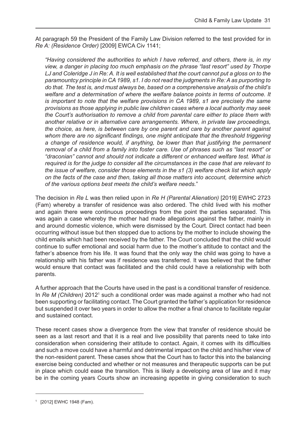At paragraph 59 the President of the Family Law Division referred to the test provided for in *Re A: (Residence Order)* [2009] EWCA Civ 1141;

 *"Having considered the authorities to which I have referred, and others, there is, in my view, a danger in placing too much emphasis on the phrase "last resort" used by Thorpe LJ and Coleridge J in Re: A. It is well established that the court cannot put a gloss on to the paramountcy principle in CA 1989, s1. I do not read the judgments in Re: A as purporting to do that. The test is, and must always be, based on a comprehensive analysis of the child's welfare and a determination of where the welfare balance points in terms of outcome. It is important to note that the welfare provisions in CA 1989, s1 are precisely the same provisions as those applying in public law children cases where a local authority may seek the Court's authorisation to remove a child from parental care either to place them with another relative or in alternative care arrangements. Where, in private law proceedings, the choice, as here, is between care by one parent and care by another parent against whom there are no significant findings, one might anticipate that the threshold triggering a change of residence would, if anything, be lower than that justifying the permanent removal of a child from a family into foster care. Use of phrases such as "last resort" or "draconian" cannot and should not indicate a different or enhanced welfare test. What is required is for the judge to consider all the circumstances in the case that are relevant to the issue of welfare, consider those elements in the s1 (3) welfare check list which apply on the facts of the case and then, taking all those matters into account, determine which of the various options best meets the child's welfare needs.*"

The decision in *Re L* was then relied upon in *Re H (Parental Alienation)* [2019] EWHC 2723 (Fam) whereby a transfer of residence was also ordered. The child lived with his mother and again there were continuous proceedings from the point the parties separated. This was again a case whereby the mother had made allegations against the father, mainly in and around domestic violence, which were dismissed by the Court. Direct contact had been occurring without issue but then stopped due to actions by the mother to include showing the child emails which had been received by the father. The Court concluded that the child would continue to suffer emotional and social harm due to the mother's attitude to contact and the father's absence from his life. It was found that the only way the child was going to have a relationship with his father was if residence was transferred. It was believed that the father would ensure that contact was facilitated and the child could have a relationship with both parents.

A further approach that the Courts have used in the past is a conditional transfer of residence. In *Re M (Children)* 2012<sup>1</sup> such a conditional order was made against a mother who had not been supporting or facilitating contact. The Court granted the father's application for residence but suspended it over two years in order to allow the mother a final chance to facilitate regular and sustained contact.

These recent cases show a divergence from the view that transfer of residence should be seen as a last resort and that it is a real and live possibility that parents need to take into consideration when considering their attitude to contact. Again, it comes with its difficulties and such a move could have a harmful and detrimental impact on the child and his/her view of the non-resident parent. These cases show that the Court has to factor this into the balancing exercise being conducted and whether or not measures and therapeutic supports can be put in place which could ease the transition. This is likely a developing area of law and it may be in the coming years Courts show an increasing appetite in giving consideration to such

<sup>1</sup> [2012] EWHC 1948 (Fam).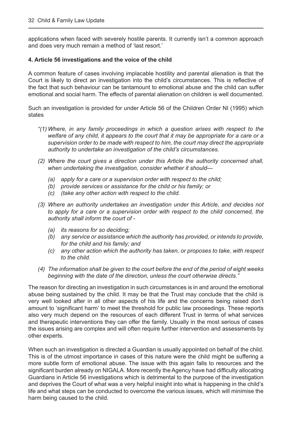applications when faced with severely hostile parents. It currently isn't a common approach and does very much remain a method of 'last resort.'

#### **4. Article 56 investigations and the voice of the child**

A common feature of cases involving implacable hostility and parental alienation is that the Court is likely to direct an investigation into the child's circumstances. This is reflective of the fact that such behaviour can be tantamount to emotional abuse and the child can suffer emotional and social harm. The effects of parental alienation on children is well documented.

Such an investigation is provided for under Article 56 of the Children Order NI (1995) which states

- *"(1) Where, in any family proceedings in which a question arises with respect to the welfare of any child, it appears to the court that it may be appropriate for a care or a supervision order to be made with respect to him, the court may direct the appropriate authority to undertake an investigation of the child's circumstances.*
- *(2) Where the court gives a direction under this Article the authority concerned shall, when undertaking the investigation, consider whether it should—*
	- *(a) apply for a care or a supervision order with respect to the child;*
	- *(b) provide services or assistance for the child or his family; or*
	- *(c) (take any other action with respect to the child.*
- *(3) Where an authority undertakes an investigation under this Article, and decides not*  to apply for a care or a supervision order with respect to the child concerned, the *authority shall inform the court of -* 
	- *(a) its reasons for so deciding;*
	- *(b) any service or assistance which the authority has provided, or intends to provide, for the child and his family; and*
	- *(c) any other action which the authority has taken, or proposes to take, with respect to the child.*
- *(4) The information shall be given to the court before the end of the period of eight weeks beginning with the date of the direction, unless the court otherwise directs."*

The reason for directing an investigation in such circumstances is in and around the emotional abuse being sustained by the child. It may be that the Trust may conclude that the child is very well looked after in all other aspects of his life and the concerns being raised don't amount to 'significant harm' to meet the threshold for public law proceedings. These reports also very much depend on the resources of each different Trust in terms of what services and therapeutic interventions they can offer the family. Usually in the most serious of cases the issues arising are complex and will often require further intervention and assessments by other experts.

When such an investigation is directed a Guardian is usually appointed on behalf of the child. This is of the utmost importance in cases of this nature were the child might be suffering a more subtle form of emotional abuse. The issue with this again falls to resources and the significant burden already on NIGALA. More recently the Agency have had difficulty allocating Guardians in Article 56 investigations which is detrimental to the purpose of the investigation and deprives the Court of what was a very helpful insight into what is happening in the child's life and what steps can be conducted to overcome the various issues, which will minimise the harm being caused to the child.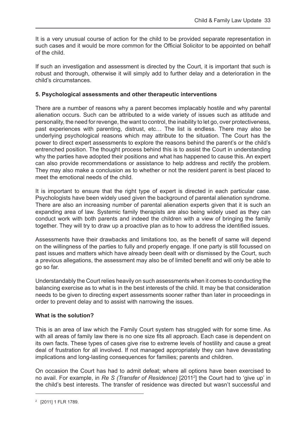It is a very unusual course of action for the child to be provided separate representation in such cases and it would be more common for the Official Solicitor to be appointed on behalf of the child.

If such an investigation and assessment is directed by the Court, it is important that such is robust and thorough, otherwise it will simply add to further delay and a deterioration in the child's circumstances.

#### **5. Psychological assessments and other therapeutic interventions**

There are a number of reasons why a parent becomes implacably hostile and why parental alienation occurs. Such can be attributed to a wide variety of issues such as attitude and personality, the need for revenge, the want to control, the inability to let go, over protectiveness, past experiences with parenting, distrust, etc… The list is endless. There may also be underlying psychological reasons which may attribute to the situation. The Court has the power to direct expert assessments to explore the reasons behind the parent's or the child's entrenched position. The thought process behind this is to assist the Court in understanding why the parties have adopted their positions and what has happened to cause this. An expert can also provide recommendations or assistance to help address and rectify the problem. They may also make a conclusion as to whether or not the resident parent is best placed to meet the emotional needs of the child.

It is important to ensure that the right type of expert is directed in each particular case. Psychologists have been widely used given the background of parental alienation syndrome. There are also an increasing number of parental alienation experts given that it is such an expanding area of law. Systemic family therapists are also being widely used as they can conduct work with both parents and indeed the children with a view of bringing the family together. They will try to draw up a proactive plan as to how to address the identified issues.

Assessments have their drawbacks and limitations too, as the benefit of same will depend on the willingness of the parties to fully and properly engage. If one party is still focussed on past issues and matters which have already been dealt with or dismissed by the Court, such a previous allegations, the assessment may also be of limited benefit and will only be able to go so far.

Understandably the Court relies heavily on such assessments when it comes to conducting the balancing exercise as to what is in the best interests of the child. It may be that consideration needs to be given to directing expert assessments sooner rather than later in proceedings in order to prevent delay and to assist with narrowing the issues.

#### **What is the solution?**

This is an area of law which the Family Court system has struggled with for some time. As with all areas of family law there is no one size fits all approach. Each case is dependent on its own facts. These types of cases give rise to extreme levels of hostility and cause a great deal of frustration for all involved. If not managed appropriately they can have devastating implications and long-lasting consequences for families; parents and children.

On occasion the Court has had to admit defeat; where all options have been exercised to no avail. For example, in *Re S (Transfer of Residence)* [20112 ] the Court had to 'give up' in the child's best interests. The transfer of residence was directed but wasn't successful and

<sup>2</sup> [2011] 1 FLR 1789.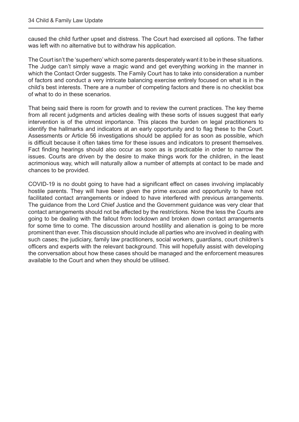caused the child further upset and distress. The Court had exercised all options. The father was left with no alternative but to withdraw his application.

The Court isn't the 'superhero' which some parents desperately want it to be in these situations. The Judge can't simply wave a magic wand and get everything working in the manner in which the Contact Order suggests. The Family Court has to take into consideration a number of factors and conduct a very intricate balancing exercise entirely focused on what is in the child's best interests. There are a number of competing factors and there is no checklist box of what to do in these scenarios.

That being said there is room for growth and to review the current practices. The key theme from all recent judgments and articles dealing with these sorts of issues suggest that early intervention is of the utmost importance. This places the burden on legal practitioners to identify the hallmarks and indicators at an early opportunity and to flag these to the Court. Assessments or Article 56 investigations should be applied for as soon as possible, which is difficult because it often takes time for these issues and indicators to present themselves. Fact finding hearings should also occur as soon as is practicable in order to narrow the issues. Courts are driven by the desire to make things work for the children, in the least acrimonious way, which will naturally allow a number of attempts at contact to be made and chances to be provided.

COVID-19 is no doubt going to have had a significant effect on cases involving implacably hostile parents. They will have been given the prime excuse and opportunity to have not facilitated contact arrangements or indeed to have interfered with previous arrangements. The guidance from the Lord Chief Justice and the Government guidance was very clear that contact arrangements should not be affected by the restrictions. None the less the Courts are going to be dealing with the fallout from lockdown and broken down contact arrangements for some time to come. The discussion around hostility and alienation is going to be more prominent than ever. This discussion should include all parties who are involved in dealing with such cases; the judiciary, family law practitioners, social workers, guardians, court children's officers and experts with the relevant background. This will hopefully assist with developing the conversation about how these cases should be managed and the enforcement measures available to the Court and when they should be utilised.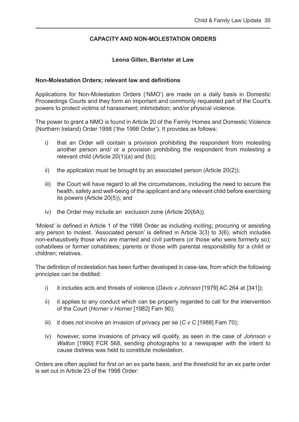#### **CAPACITY AND NON-MOLESTATION ORDERS**

#### **Leona Gillen, Barrister at Law**

#### <span id="page-35-0"></span>**Non-Molestation Orders; relevant law and definitions**

Applications for Non-Molestation Orders ('NMO') are made on a daily basis in Domestic Proceedings Courts and they form an important and commonly requested part of the Court's powers to protect victims of harassment; intimidation; and/or physical violence.

The power to grant a NMO is found in Article 20 of the Family Homes and Domestic Violence (Northern Ireland) Order 1998 ('the 1998 Order'). It provides as follows:

- i) that an Order will contain a provision prohibiting the respondent from molesting another person and/ or a provision prohibiting the respondent from molesting a relevant child (Article 20(1)(a) and (b));
- ii) the application must be brought by an associated person (Article 20(2));
- iii) the Court will have regard to all the circumstances, including the need to secure the health, safety and well-being of the applicant and any relevant child before exercising its powers (Article 20(5)); and
- iv) the Order may include an exclusion zone (Article 20(6A)).

'Molest' is defined in Article 1 of the 1998 Order as including inciting; procuring or assisting any person to molest. 'Associated person' is defined in Article 3(3) to 3(6), which includes non-exhaustively those who are married and civil partners (or those who were formerly so); cohabitees or former cohabitees; parents or those with parental responsibility for a child or children; relatives.

The definition of molestation has been further developed in case-law, from which the following principles can be distilled:

- i) it includes acts and threats of violence (*Davis v Johnson* [1979] AC 264 at [341]);
- ii) it applies to any conduct which can be properly regarded to call for the intervention of the Court (*Horner v Horner* [1982] Fam 90);
- iii) it does not involve an invasion of privacy per se (*C v C* [1988] Fam 70);
- iv) however, some invasions of privacy will qualify, as seen in the case of *Johnson v Walton* [1990] FCR 568, sending photographs to a newspaper with the intent to cause distress was held to constitute molestation.

Orders are often applied for first on an ex parte basis, and the threshold for an ex parte order is set out in Article 23 of the 1998 Order: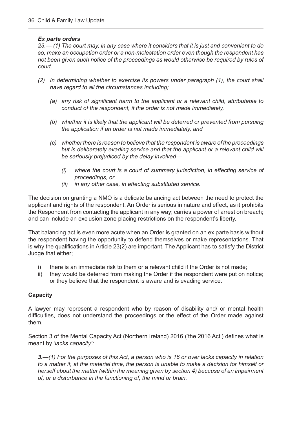#### *Ex parte orders*

 *23.— (1) The court may, in any case where it considers that it is just and convenient to do so, make an occupation order or a non-molestation order even though the respondent has not been given such notice of the proceedings as would otherwise be required by rules of court.*

- *(2) In determining whether to exercise its powers under paragraph (1), the court shall have regard to all the circumstances including;*
	- *(a) any risk of significant harm to the applicant or a relevant child, attributable to conduct of the respondent, if the order is not made immediately,*
	- *(b) whether it is likely that the applicant will be deterred or prevented from pursuing the application if an order is not made immediately, and*
	- *(c) whether there is reason to believe that the respondent is aware of the proceedings*  but is deliberately evading service and that the applicant or a relevant child will *be seriously prejudiced by the delay involved—*
		- *(i) where the court is a court of summary jurisdiction, in effecting service of proceedings, or*
		- *(ii) in any other case, in effecting substituted service.*

The decision on granting a NMO is a delicate balancing act between the need to protect the applicant and rights of the respondent. An Order is serious in nature and effect, as it prohibits the Respondent from contacting the applicant in any way; carries a power of arrest on breach; and can include an exclusion zone placing restrictions on the respondent's liberty.

That balancing act is even more acute when an Order is granted on an ex parte basis without the respondent having the opportunity to defend themselves or make representations. That is why the qualifications in Article 23(2) are important. The Applicant has to satisfy the District Judge that either;

- i) there is an immediate risk to them or a relevant child if the Order is not made;
- ii) they would be deterred from making the Order if the respondent were put on notice; or they believe that the respondent is aware and is evading service.

#### **Capacity**

A lawyer may represent a respondent who by reason of disability and/ or mental health difficulties, does not understand the proceedings or the effect of the Order made against them.

Section 3 of the Mental Capacity Act (Northern Ireland) 2016 ('the 2016 Act') defines what is meant by *'lacks capacity':*

 *3.—(1) For the purposes of this Act, a person who is 16 or over lacks capacity in relation to a matter if, at the material time, the person is unable to make a decision for himself or herself about the matter (within the meaning given by section 4) because of an impairment of, or a disturbance in the functioning of, the mind or brain.*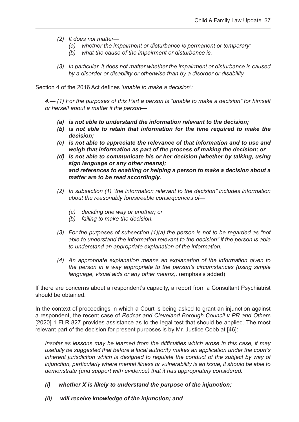- *(2) It does not matter—*
	- *(a) whether the impairment or disturbance is permanent or temporary;*
	- *(b) what the cause of the impairment or disturbance is.*
- *(3) In particular, it does not matter whether the impairment or disturbance is caused by a disorder or disability or otherwise than by a disorder or disability.*

Section 4 of the 2016 Act defines *'unable to make a decision':*

 *4.— (1) For the purposes of this Part a person is "unable to make a decision" for himself or herself about a matter if the person—*

- *(a) is not able to understand the information relevant to the decision;*
- *(b) is not able to retain that information for the time required to make the decision;*
- *(c) is not able to appreciate the relevance of that information and to use and weigh that information as part of the process of making the decision; or*
- *(d) is not able to communicate his or her decision (whether by talking, using sign language or any other means); and references to enabling or helping a person to make a decision about a matter are to be read accordingly.*
- *(2) In subsection (1) "the information relevant to the decision" includes information about the reasonably foreseeable consequences of—*
	- *(a) deciding one way or another; or*
	- *(b) failing to make the decision.*
- *(3) For the purposes of subsection (1)(a) the person is not to be regarded as "not able to understand the information relevant to the decision" if the person is able to understand an appropriate explanation of the information.*
- *(4) An appropriate explanation means an explanation of the information given to the person in a way appropriate to the person's circumstances (using simple language, visual aids or any other means).* (emphasis added)

If there are concerns about a respondent's capacity, a report from a Consultant Psychiatrist should be obtained.

In the context of proceedings in which a Court is being asked to grant an injunction against a respondent, the recent case of *Redcar and Cleveland Borough Council v PR and Others*  [2020] 1 FLR 827 provides assistance as to the legal test that should be applied. The most relevant part of the decision for present purposes is by Mr. Justice Cobb at [46]:

*Insofar as lessons may be learned from the difficulties which arose in this case, it may usefully be suggested that before a local authority makes an application under the court's inherent jurisdiction which is designed to regulate the conduct of the subject by way of injunction, particularly where mental illness or vulnerability is an issue, it should be able to demonstrate (and support with evidence) that it has appropriately considered:*

- *(i) whether X is likely to understand the purpose of the injunction;*
- *(ii) will receive knowledge of the injunction; and*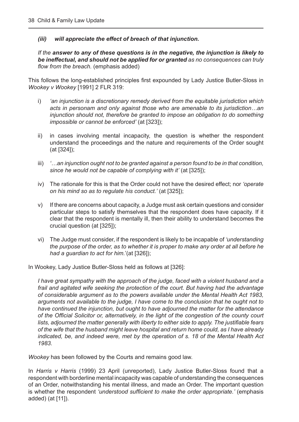#### *(iii) will appreciate the effect of breach of that injunction.*

 *If the answer to any of these questions is in the negative, the injunction is likely to be ineffectual, and should not be applied for or granted as no consequences can truly flow from the breach.* (emphasis added)

This follows the long-established principles first expounded by Lady Justice Butler-Sloss in *Wookey v Wookey* [1991] 2 FLR 319:

- i) *'an injunction is a discretionary remedy derived from the equitable jurisdiction which acts in personam and only against those who are amenable to its jurisdiction…an injunction should not, therefore be granted to impose an obligation to do something impossible or cannot be enforced'* (at [323]);
- ii) in cases involving mental incapacity, the question is whether the respondent understand the proceedings and the nature and requirements of the Order sought (at [324]);
- iii) *'…an injunction ought not to be granted against a person found to be in that condition, since he would not be capable of complying with it'* (at [325]);
- iv) The rationale for this is that the Order could not have the desired effect; nor *'operate on his mind so as to regulate his conduct.'* (at [325]);
- v) If there are concerns about capacity, a Judge must ask certain questions and consider particular steps to satisfy themselves that the respondent does have capacity. If it clear that the respondent is mentally ill, then their ability to understand becomes the crucial question (at [325]);
- vi) The Judge must consider, if the respondent is likely to be incapable of *'understanding the purpose of the order, as to whether it is proper to make any order at all before he had a guardian to act for him.*'(at [326]);

In Wookey, Lady Justice Butler-Sloss held as follows at [326]:

 *I have great sympathy with the approach of the judge, faced with a violent husband and a frail and agitated wife seeking the protection of the court. But having had the advantage of considerable argument as to the powers available under the Mental Health Act 1983, arguments not available to the judge, I have come to the conclusion that he ought not to have continued the injunction, but ought to have adjourned the matter for the attendance of the Official Solicitor or, alternatively, in the light of the congestion of the county court lists, adjourned the matter generally with liberty to either side to apply. The justifiable fears of the wife that the husband might leave hospital and return home could, as I have already indicated, be, and indeed were, met by the operation of s. 18 of the Mental Health Act 1983.*

*Wookey* has been followed by the Courts and remains good law.

In *Harris v Harris* (1999) 23 April (unreported), Lady Justice Butler-Sloss found that a respondent with borderline mental incapacity was capable of understanding the consequences of an Order, notwithstanding his mental illness, and made an Order. The important question is whether the respondent *'understood sufficient to make the order appropriate.'* (emphasis added) (at [11]).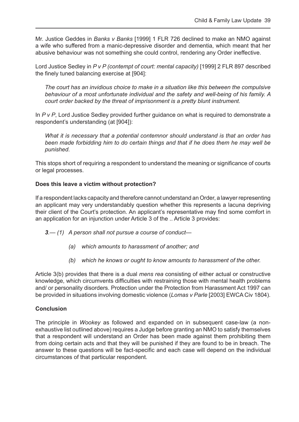Mr. Justice Geddes in *Banks v Banks* [1999] 1 FLR 726 declined to make an NMO against a wife who suffered from a manic-depressive disorder and dementia, which meant that her abusive behaviour was not something she could control, rendering any Order ineffective.

Lord Justice Sedley in *P v P (contempt of court: mental capacity)* [1999] 2 FLR 897 described the finely tuned balancing exercise at [904]:

 *The court has an invidious choice to make in a situation like this between the compulsive behaviour of a most unfortunate individual and the safety and well-being of his family. A court order backed by the threat of imprisonment is a pretty blunt instrument.*

In *P v P*, Lord Justice Sedley provided further guidance on what is required to demonstrate a respondent's understanding (at [904]):

 *What it is necessary that a potential contemnor should understand is that an order has been made forbidding him to do certain things and that if he does them he may well be punished.* 

This stops short of requiring a respondent to understand the meaning or significance of courts or legal processes.

#### **Does this leave a victim without protection?**

If a respondent lacks capacity and therefore cannot understand an Order, a lawyer representing an applicant may very understandably question whether this represents a lacuna depriving their client of the Court's protection. An applicant's representative may find some comfort in an application for an injunction under Article 3 of the .. Article 3 provides:

- *3.— (1) A person shall not pursue a course of conduct—*
	- *(a) which amounts to harassment of another; and*
	- *(b) which he knows or ought to know amounts to harassment of the other.*

Article 3(b) provides that there is a dual *mens rea* consisting of either actual or constructive knowledge, which circumvents difficulties with restraining those with mental health problems and/ or personality disorders. Protection under the Protection from Harassment Act 1997 can be provided in situations involving domestic violence (*Lomas v Parle* [2003] EWCA Civ 1804).

#### **Conclusion**

The principle in *Wookey* as followed and expanded on in subsequent case-law (a nonexhaustive list outlined above) requires a Judge before granting an NMO to satisfy themselves that a respondent will understand an Order has been made against them prohibiting them from doing certain acts and that they will be punished if they are found to be in breach. The answer to these questions will be fact-specific and each case will depend on the individual circumstances of that particular respondent.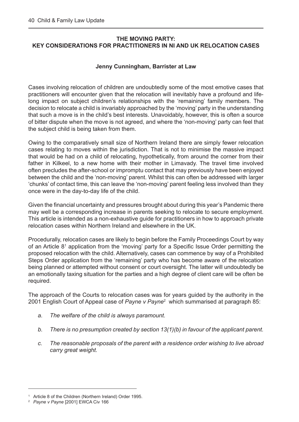#### <span id="page-40-0"></span>**THE MOVING PARTY: KEY CONSIDERATIONS FOR PRACTITIONERS IN NI AND UK RELOCATION CASES**

#### **Jenny Cunningham, Barrister at Law**

Cases involving relocation of children are undoubtedly some of the most emotive cases that practitioners will encounter given that the relocation will inevitably have a profound and lifelong impact on subject children's relationships with the 'remaining' family members. The decision to relocate a child is invariably approached by the 'moving' party in the understanding that such a move is in the child's best interests. Unavoidably, however, this is often a source of bitter dispute when the move is not agreed, and where the 'non-moving' party can feel that the subject child is being taken from them.

Owing to the comparatively small size of Northern Ireland there are simply fewer relocation cases relating to moves within the jurisdiction. That is not to minimise the massive impact that would be had on a child of relocating, hypothetically, from around the corner from their father in Kilkeel, to a new home with their mother in Limavady. The travel time involved often precludes the after-school or impromptu contact that may previously have been enjoyed between the child and the 'non-moving' parent. Whilst this can often be addressed with larger 'chunks' of contact time, this can leave the 'non-moving' parent feeling less involved than they once were in the day-to-day life of the child.

Given the financial uncertainty and pressures brought about during this year's Pandemic there may well be a corresponding increase in parents seeking to relocate to secure employment. This article is intended as a non-exhaustive guide for practitioners in how to approach private relocation cases within Northern Ireland and elsewhere in the UK.

Procedurally, relocation cases are likely to begin before the Family Proceedings Court by way of an Article 8<sup>1</sup> application from the 'moving' party for a Specific Issue Order permitting the proposed relocation with the child. Alternatively, cases can commence by way of a Prohibited Steps Order application from the 'remaining' party who has become aware of the relocation being planned or attempted without consent or court oversight. The latter will undoubtedly be an emotionally taxing situation for the parties and a high degree of client care will be often be required.

The approach of the Courts to relocation cases was for years guided by the authority in the 2001 English Court of Appeal case of *Payne v Payne*<sup>2</sup> which summarised at paragraph 85:

- *a. The welfare of the child is always paramount.*
- *b. There is no presumption created by section 13(1)(b) in favour of the applicant parent.*
- *c. The reasonable proposals of the parent with a residence order wishing to live abroad carry great weight.*

<sup>1</sup> Article 8 of the Children (Northern Ireland) Order 1995.

<sup>2</sup> *Payne v Payne* [2001] EWCA Civ 166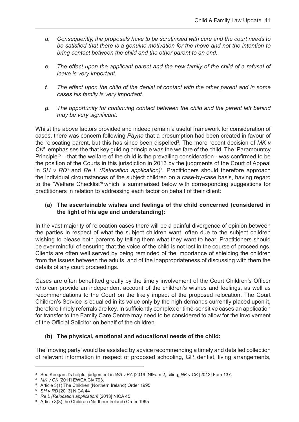- *d. Consequently, the proposals have to be scrutinised with care and the court needs to be satisfied that there is a genuine motivation for the move and not the intention to bring contact between the child and the other parent to an end.*
- *e. The effect upon the applicant parent and the new family of the child of a refusal of leave is very important.*
- *f. The effect upon the child of the denial of contact with the other parent and in some cases his family is very important.*
- *g. The opportunity for continuing contact between the child and the parent left behind may be very significant.*

Whilst the above factors provided and indeed remain a useful framework for consideration of cases, there was concern following *Payne* that a presumption had been created in favour of the relocating parent, but this has since been dispelled<sup>3</sup>. The more recent decision of MK v *CK*<sup>4</sup> emphasises the that key guiding principle was the welfare of the child. The 'Paramountcy Principle<sup>'5</sup> – that the welfare of the child is the prevailing consideration - was confirmed to be the position of the Courts in this jurisdiction in 2013 by the judgments of the Court of Appeal in SH v RD<sup>6</sup> and Re L (Relocation application)<sup>7</sup>. Practitioners should therefore approach the individual circumstances of the subject children on a case-by-case basis, having regard to the 'Welfare Checklist'<sup>8</sup> which is summarised below with corresponding suggestions for practitioners in relation to addressing each factor on behalf of their client:

#### **(a) The ascertainable wishes and feelings of the child concerned (considered in the light of his age and understanding):**

In the vast majority of relocation cases there will be a painful divergence of opinion between the parties in respect of what the subject children want, often due to the subject children wishing to please both parents by telling them what they want to hear. Practitioners should be ever mindful of ensuring that the voice of the child is not lost in the course of proceedings. Clients are often well served by being reminded of the importance of shielding the children from the issues between the adults, and of the inappropriateness of discussing with them the details of any court proceedings.

Cases are often benefitted greatly by the timely involvement of the Court Children's Officer who can provide an independent account of the children's wishes and feelings, as well as recommendations to the Court on the likely impact of the proposed relocation. The Court Children's Service is equalled in its value only by the high demands currently placed upon it, therefore timely referrals are key. In sufficiently complex or time-sensitive cases an application for transfer to the Family Care Centre may need to be considered to allow for the involvement of the Official Solicitor on behalf of the children.

#### **(b) The physical, emotional and educational needs of the child:**

The 'moving party' would be assisted by advice recommending a timely and detailed collection of relevant information in respect of proposed schooling, GP, dentist, living arrangements,

<sup>3</sup> See Keegan J's helpful judgement in *WA v KA* [2019] NIFam 2, citing; *NK v CK* [2012] Fam 137.

<sup>4</sup> *MK v CK* [2011] EWCA Civ 793.

<sup>5</sup> Article 3(1) The Children (Northern Ireland) Order 1995

<sup>6</sup> *SH v RD* [2013] NICA 44

<sup>7</sup> *Re L (Relocation application)* [2013] NICA 45

<sup>8</sup> Article 3(3) the Children (Northern Ireland) Order 1995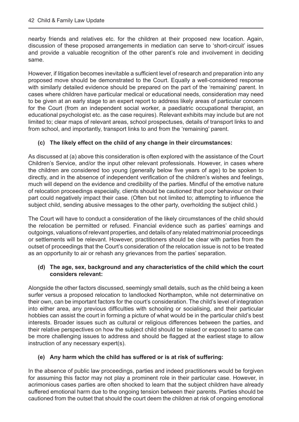nearby friends and relatives etc. for the children at their proposed new location. Again, discussion of these proposed arrangements in mediation can serve to 'short-circuit' issues and provide a valuable recognition of the other parent's role and involvement in deciding same.

However, if litigation becomes inevitable a sufficient level of research and preparation into any proposed move should be demonstrated to the Court. Equally a well-considered response with similarly detailed evidence should be prepared on the part of the 'remaining' parent. In cases where children have particular medical or educational needs, consideration may need to be given at an early stage to an expert report to address likely areas of particular concern for the Court (from an independent social worker, a paediatric occupational therapist, an educational psychologist etc. as the case requires). Relevant exhibits may include but are not limited to; clear maps of relevant areas, school prospectuses, details of transport links to and from school, and importantly, transport links to and from the 'remaining' parent.

#### **(c) The likely effect on the child of any change in their circumstances:**

As discussed at (a) above this consideration is often explored with the assistance of the Court Children's Service, and/or the input other relevant professionals. However, in cases where the children are considered too young (generally below five years of age) to be spoken to directly, and in the absence of independent verification of the children's wishes and feelings, much will depend on the evidence and credibility of the parties. Mindful of the emotive nature of relocation proceedings especially, clients should be cautioned that poor behaviour on their part could negatively impact their case. (Often but not limited to; attempting to influence the subject child, sending abusive messages to the other party, overholding the subject child.)

The Court will have to conduct a consideration of the likely circumstances of the child should the relocation be permitted or refused. Financial evidence such as parties' earnings and outgoings, valuations of relevant properties, and details of any related matrimonial proceedings or settlements will be relevant. However, practitioners should be clear with parties from the outset of proceedings that the Court's consideration of the relocation issue is not to be treated as an opportunity to air or rehash any grievances from the parties' separation.

#### **(d) The age, sex, background and any characteristics of the child which the court considers relevant:**

Alongside the other factors discussed, seemingly small details, such as the child being a keen surfer versus a proposed relocation to landlocked Northampton, while not determinative on their own, can be important factors for the court's consideration. The child's level of integration into either area, any previous difficulties with schooling or socialising, and their particular hobbies can assist the court in forming a picture of what would be in the particular child's best interests. Broader issues such as cultural or religious differences between the parties, and their relative perspectives on how the subject child should be raised or exposed to same can be more challenging issues to address and should be flagged at the earliest stage to allow instruction of any necessary expert(s).

#### **(e) Any harm which the child has suffered or is at risk of suffering:**

In the absence of public law proceedings, parties and indeed practitioners would be forgiven for assuming this factor may not play a prominent role in their particular case. However, in acrimonious cases parties are often shocked to learn that the subject children have already suffered emotional harm due to the ongoing tension between their parents. Parties should be cautioned from the outset that should the court deem the children at risk of ongoing emotional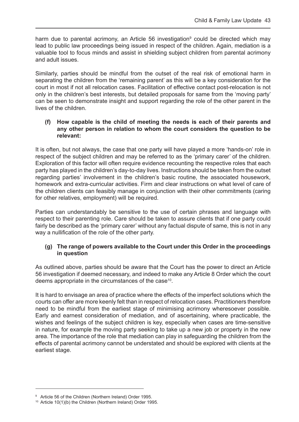harm due to parental acrimony, an Article 56 investigation<sup>9</sup> could be directed which may lead to public law proceedings being issued in respect of the children. Again, mediation is a valuable tool to focus minds and assist in shielding subject children from parental acrimony and adult issues.

Similarly, parties should be mindful from the outset of the real risk of emotional harm in separating the children from the 'remaining parent' as this will be a key consideration for the court in most if not all relocation cases. Facilitation of effective contact post-relocation is not only in the children's best interests, but detailed proposals for same from the 'moving party' can be seen to demonstrate insight and support regarding the role of the other parent in the lives of the children.

#### **(f) How capable is the child of meeting the needs is each of their parents and any other person in relation to whom the court considers the question to be relevant:**

It is often, but not always, the case that one party will have played a more 'hands-on' role in respect of the subject children and may be referred to as the 'primary carer' of the children. Exploration of this factor will often require evidence recounting the respective roles that each party has played in the children's day-to-day lives. Instructions should be taken from the outset regarding parties' involvement in the children's basic routine, the associated housework, homework and extra-curricular activities. Firm and clear instructions on what level of care of the children clients can feasibly manage in conjunction with their other commitments (caring for other relatives, employment) will be required.

Parties can understandably be sensitive to the use of certain phrases and language with respect to their parenting role. Care should be taken to assure clients that if one party could fairly be described as the 'primary carer' without any factual dispute of same, this is not in any way a nullification of the role of the other party.

#### **(g) The range of powers available to the Court under this Order in the proceedings in question**

As outlined above, parties should be aware that the Court has the power to direct an Article 56 investigation if deemed necessary, and indeed to make any Article 8 Order which the court deems appropriate in the circumstances of the case<sup>10</sup>.

It is hard to envisage an area of practice where the effects of the imperfect solutions which the courts can offer are more keenly felt than in respect of relocation cases. Practitioners therefore need to be mindful from the earliest stage of minimising acrimony wheresoever possible. Early and earnest consideration of mediation, and of ascertaining, where practicable, the wishes and feelings of the subject children is key, especially when cases are time-sensitive in nature, for example the moving party seeking to take up a new job or property in the new area. The importance of the role that mediation can play in safeguarding the children from the effects of parental acrimony cannot be understated and should be explored with clients at the earliest stage.

<sup>9</sup> Article 56 of the Children (Northern Ireland) Order 1995.

<sup>10</sup> Article 10(1)(b) the Children (Northern Ireland) Order 1995.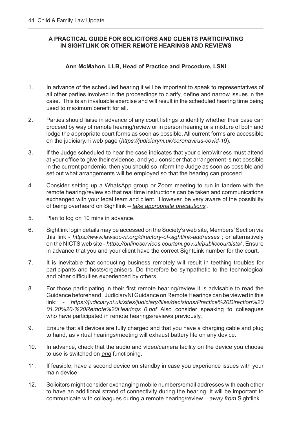#### <span id="page-44-0"></span>**A PRACTICAL GUIDE FOR SOLICITORS AND CLIENTS PARTICIPATING IN SIGHTLINK OR OTHER REMOTE HEARINGS AND REVIEWS**

#### **Ann McMahon, LLB, Head of Practice and Procedure, LSNI**

- 1. In advance of the scheduled hearing it will be important to speak to representatives of all other parties involved in the proceedings to clarify, define and narrow issues in the case. This is an invaluable exercise and will result in the scheduled hearing time being used to maximum benefit for all.
- 2. Parties should liaise in advance of any court listings to identify whether their case can proceed by way of remote hearing/review or in person hearing or a mixture of both and lodge the appropriate court forms as soon as possible. All current forms are accessible on the judiciary.ni web page (*https://judiciaryni.uk/coronavirus-covid-19*).
- 3. If the Judge scheduled to hear the case indicates that your client/witness must attend at your office to give their evidence, and you consider that arrangement is not possible in the current pandemic, then you should so inform the Judge as soon as possible and set out what arrangements will be employed so that the hearing can proceed.
- 4. Consider setting up a WhatsApp group or Zoom meeting to run in tandem with the remote hearing/review so that real time instructions can be taken and communications exchanged with your legal team and client. However, be very aware of the possibility of being overheard on Sightlink – *take appropriate precautions .*
- 5. Plan to log on 10 mins in advance.
- 6. Sightlink login details may be accessed on the Society's web site, Members' Section via this link - *https://www.lawsoc-ni.org/directory-of-sightlink-addresses* ; or alternatively on the NICTS web site - *https://onlineservices.courtsni.gov.uk/publiccourtlists/* . Ensure in advance that you and your client have the correct SightLink number for the court.
- 7. It is inevitable that conducting business remotely will result in teething troubles for participants and hosts/organisers. Do therefore be sympathetic to the technological and other difficulties experienced by others.
- 8. For those participating in their first remote hearing/review it is advisable to read the Guidance beforehand. JudiciaryNI Guidance on Remote Hearings can be viewed in this link: - *[https://judiciaryni.uk/sites/judiciary/files/decisions/Practice%20Direction%20](https://judiciaryni.uk/sites/judiciary/files/decisions/Practice%20Direction%2001.20%20-%20Remote%20Hearings_0.pdf) 01.20%20-%20Remote%20Hearings\_0.pdf* Also consider speaking to colleagues who have participated in remote hearings/reviews previously.
- 9. Ensure that all devices are fully charged and that you have a charging cable and plug to hand, as virtual hearings/meeting will exhaust battery life on any device.
- 10. In advance, check that the audio and video/camera facility on the device you choose to use is switched on *and* functioning.
- 11. If feasible, have a second device on standby in case you experience issues with your main device.
- 12. Solicitors might consider exchanging mobile numbers/email addresses with each other to have an additional strand of connectivity during the hearing. It will be important to communicate with colleagues during a remote hearing/review – *away from* Sightlink.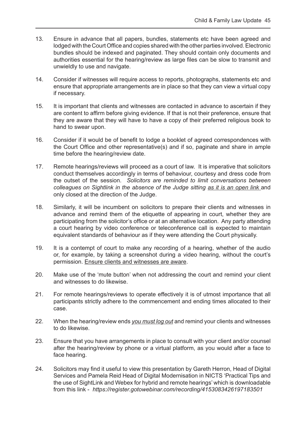- 13. Ensure in advance that all papers, bundles, statements etc have been agreed and lodged with the Court Office and copies shared with the other parties involved. Electronic bundles should be indexed and paginated. They should contain only documents and authorities essential for the hearing/review as large files can be slow to transmit and unwieldly to use and navigate.
- 14. Consider if witnesses will require access to reports, photographs, statements etc and ensure that appropriate arrangements are in place so that they can view a virtual copy if necessary.
- 15. It is important that clients and witnesses are contacted in advance to ascertain if they are content to affirm before giving evidence. If that is not their preference, ensure that they are aware that they will have to have a copy of their preferred religious book to hand to swear upon.
- 16. Consider if it would be of benefit to lodge a booklet of agreed correspondences with the Court Office and other representative(s) and if so, paginate and share in ample time before the hearing/review date.
- 17. Remote hearings/reviews will proceed as a court of law. It is imperative that solicitors conduct themselves accordingly in terms of behaviour, courtesy and dress code from the outset of the session. *Solicitors are reminded to limit conversations between colleagues on Sightlink in the absence of the Judge sitting as it is an open link* and only closed at the direction of the Judge.
- 18. Similarly, it will be incumbent on solicitors to prepare their clients and witnesses in advance and remind them of the etiquette of appearing in court, whether they are participating from the solicitor's office or at an alternative location. Any party attending a court hearing by video conference or teleconference call is expected to maintain equivalent standards of behaviour as if they were attending the Court physically.
- 19. It is a contempt of court to make any recording of a hearing, whether of the audio or, for example, by taking a screenshot during a video hearing, without the court's permission. Ensure clients and witnesses are aware.
- 20. Make use of the 'mute button' when not addressing the court and remind your client and witnesses to do likewise.
- 21. For remote hearings/reviews to operate effectively it is of utmost importance that all participants strictly adhere to the commencement and ending times allocated to their case.
- 22. When the hearing/review ends *you must log out* and remind your clients and witnesses to do likewise.
- 23. Ensure that you have arrangements in place to consult with your client and/or counsel after the hearing/review by phone or a virtual platform, as you would after a face to face hearing.
- 24. Solicitors may find it useful to view this presentation by Gareth Herron, Head of Digital Services and Pamela Reid Head of Digital Modernisation in NICTS 'Practical Tips and the use of SightLink and Webex for hybrid and remote hearings' which is downloadable from this link - *https://register.gotowebinar.com/recording/4153083426197183501*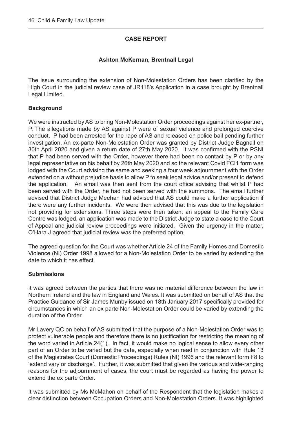#### **CASE REPORT**

#### **Ashton McKernan, Brentnall Legal**

<span id="page-46-0"></span>The issue surrounding the extension of Non-Molestation Orders has been clarified by the High Court in the judicial review case of JR118's Application in a case brought by Brentnall Legal Limited.

#### **Background**

We were instructed by AS to bring Non-Molestation Order proceedings against her ex-partner, P. The allegations made by AS against P were of sexual violence and prolonged coercive conduct. P had been arrested for the rape of AS and released on police bail pending further investigation. An ex-parte Non-Molestation Order was granted by District Judge Bagnall on 30th April 2020 and given a return date of 27th May 2020. It was confirmed with the PSNI that P had been served with the Order, however there had been no contact by P or by any legal representative on his behalf by 26th May 2020 and so the relevant Covid FCI1 form was lodged with the Court advising the same and seeking a four week adjournment with the Order extended on a without prejudice basis to allow P to seek legal advice and/or present to defend the application. An email was then sent from the court office advising that whilst P had been served with the Order, he had not been served with the summons. The email further advised that District Judge Meehan had advised that AS could make a further application if there were any further incidents. We were then advised that this was due to the legislation not providing for extensions. Three steps were then taken; an appeal to the Family Care Centre was lodged, an application was made to the District Judge to state a case to the Court of Appeal and judicial review proceedings were initiated. Given the urgency in the matter, O'Hara J agreed that judicial review was the preferred option.

The agreed question for the Court was whether Article 24 of the Family Homes and Domestic Violence (NI) Order 1998 allowed for a Non-Molestation Order to be varied by extending the date to which it has effect.

#### **Submissions**

It was agreed between the parties that there was no material difference between the law in Northern Ireland and the law in England and Wales. It was submitted on behalf of AS that the Practice Guidance of Sir James Munby issued on 18th January 2017 specifically provided for circumstances in which an ex parte Non-Molestation Order could be varied by extending the duration of the Order.

Mr Lavery QC on behalf of AS submitted that the purpose of a Non-Molestation Order was to protect vulnerable people and therefore there is no justification for restricting the meaning of the word varied in Article 24(1). In fact, it would make no logical sense to allow every other part of an Order to be varied but the date, especially when read in conjunction with Rule 13 of the Magistrates Court (Domestic Proceedings) Rules (NI) 1996 and the relevant form F8 to 'extend vary or discharge'. Further, it was submitted that given the various and wide-ranging reasons for the adjournment of cases, the court must be regarded as having the power to extend the ex parte Order.

It was submitted by Ms McMahon on behalf of the Respondent that the legislation makes a clear distinction between Occupation Orders and Non-Molestation Orders. It was highlighted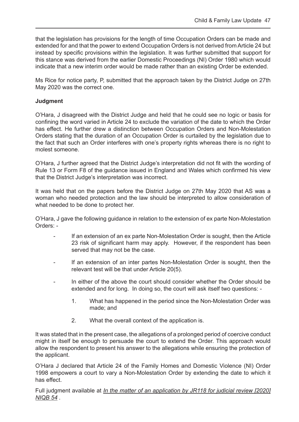that the legislation has provisions for the length of time Occupation Orders can be made and extended for and that the power to extend Occupation Orders is not derived from Article 24 but instead by specific provisions within the legislation. It was further submitted that support for this stance was derived from the earlier Domestic Proceedings (NI) Order 1980 which would indicate that a new interim order would be made rather than an existing Order be extended.

Ms Rice for notice party, P, submitted that the approach taken by the District Judge on 27th May 2020 was the correct one.

#### **Judgment**

O'Hara, J disagreed with the District Judge and held that he could see no logic or basis for confining the word varied in Article 24 to exclude the variation of the date to which the Order has effect. He further drew a distinction between Occupation Orders and Non-Molestation Orders stating that the duration of an Occupation Order is curtailed by the legislation due to the fact that such an Order interferes with one's property rights whereas there is no right to molest someone.

O'Hara, J further agreed that the District Judge's interpretation did not fit with the wording of Rule 13 or Form F8 of the guidance issued in England and Wales which confirmed his view that the District Judge's interpretation was incorrect.

It was held that on the papers before the District Judge on 27th May 2020 that AS was a woman who needed protection and the law should be interpreted to allow consideration of what needed to be done to protect her.

O'Hara, J gave the following guidance in relation to the extension of ex parte Non-Molestation Orders: -

- If an extension of an ex parte Non-Molestation Order is sought, then the Article 23 risk of significant harm may apply. However, if the respondent has been served that may not be the case.
- If an extension of an inter partes Non-Molestation Order is sought, then the relevant test will be that under Article 20(5).
- In either of the above the court should consider whether the Order should be extended and for long. In doing so, the court will ask itself two questions: -
	- 1. What has happened in the period since the Non-Molestation Order was made; and
	- 2. What the overall context of the application is.

It was stated that in the present case, the allegations of a prolonged period of coercive conduct might in itself be enough to persuade the court to extend the Order. This approach would allow the respondent to present his answer to the allegations while ensuring the protection of the applicant.

O'Hara J declared that Article 24 of the Family Homes and Domestic Violence (NI) Order 1998 empowers a court to vary a Non-Molestation Order by extending the date to which it has effect.

Full judgment available at *[In the matter of an application by JR118 for judicial review \[2020\]](https://www.judiciaryni.uk/judicial-decisions/2020-niqb-54)  NIQB 54 .*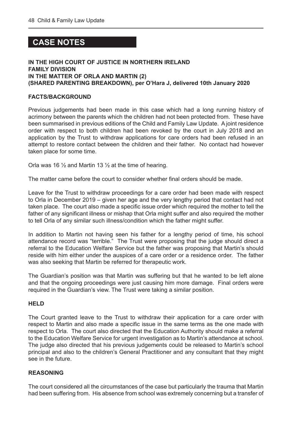#### <span id="page-48-0"></span> **CASE NOTES**

#### **IN THE HIGH COURT OF JUSTICE IN NORTHERN IRELAND FAMILY DIVISION IN THE MATTER OF ORLA AND MARTIN (2) (SHARED PARENTING BREAKDOWN), per O'Hara J, delivered 10th January 2020**

#### **FACTS/BACKGROUND**

Previous judgements had been made in this case which had a long running history of acrimony between the parents which the children had not been protected from. These have been summarised in previous editions of the Child and Family Law Update. A joint residence order with respect to both children had been revoked by the court in July 2018 and an application by the Trust to withdraw applications for care orders had been refused in an attempt to restore contact between the children and their father. No contact had however taken place for some time.

Orla was 16  $\frac{1}{2}$  and Martin 13  $\frac{1}{2}$  at the time of hearing.

The matter came before the court to consider whether final orders should be made.

Leave for the Trust to withdraw proceedings for a care order had been made with respect to Orla in December 2019 – given her age and the very lengthy period that contact had not taken place. The court also made a specific issue order which required the mother to tell the father of any significant illness or mishap that Orla might suffer and also required the mother to tell Orla of any similar such illness/condition which the father might suffer.

In addition to Martin not having seen his father for a lengthy period of time, his school attendance record was "terrible." The Trust were proposing that the judge should direct a referral to the Education Welfare Service but the father was proposing that Martin's should reside with him either under the auspices of a care order or a residence order. The father was also seeking that Martin be referred for therapeutic work.

The Guardian's position was that Martin was suffering but that he wanted to be left alone and that the ongoing proceedings were just causing him more damage. Final orders were required in the Guardian's view. The Trust were taking a similar position.

#### **HELD**

The Court granted leave to the Trust to withdraw their application for a care order with respect to Martin and also made a specific issue in the same terms as the one made with respect to Orla. The court also directed that the Education Authority should make a referral to the Education Welfare Service for urgent investigation as to Martin's attendance at school. The judge also directed that his previous judgements could be released to Martin's school principal and also to the children's General Practitioner and any consultant that they might see in the future.

#### **REASONING**

The court considered all the circumstances of the case but particularly the trauma that Martin had been suffering from. His absence from school was extremely concerning but a transfer of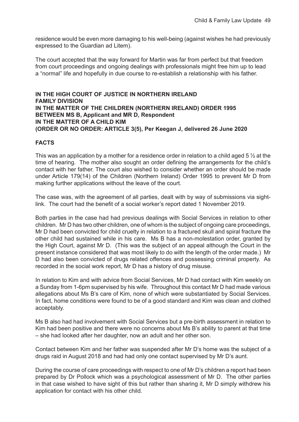residence would be even more damaging to his well-being (against wishes he had previously expressed to the Guardian ad Litem).

The court accepted that the way forward for Martin was far from perfect but that freedom from court proceedings and ongoing dealings with professionals might free him up to lead a "normal" life and hopefully in due course to re-establish a relationship with his father.

**IN THE HIGH COURT OF JUSTICE IN NORTHERN IRELAND FAMILY DIVISION IN THE MATTER OF THE CHILDREN (NORTHERN IRELAND) ORDER 1995 BETWEEN MS B, Applicant and MR D, Respondent IN THE MATTER OF A CHILD KIM (ORDER OR NO ORDER: ARTICLE 3(5), Per Keegan J, delivered 26 June 2020**

#### **FACTS**

This was an application by a mother for a residence order in relation to a child aged 5  $\frac{1}{2}$  at the time of hearing. The mother also sought an order defining the arrangements for the child's contact with her father. The court also wished to consider whether an order should be made under Article 179(14) of the Children (Northern Ireland) Order 1995 to prevent Mr D from making further applications without the leave of the court.

The case was, with the agreement of all parties, dealt with by way of submissions via sightlink. The court had the benefit of a social worker's report dated 1 November 2019.

Both parties in the case had had previous dealings with Social Services in relation to other children. Mr D has two other children, one of whom is the subject of ongoing care proceedings, Mr D had been convicted for child cruelty in relation to a fractured skull and spiral fracture the other child had sustained while in his care. Ms B has a non-molestation order, granted by the High Court, against Mr D. (This was the subject of an appeal although the Court in the present instance considered that was most likely to do with the length of the order made.) Mr D had also been convicted of drugs related offences and possessing criminal property. As recorded in the social work report, Mr D has a history of drug misuse.

In relation to Kim and with advice from Social Services, Mr D had contact with Kim weekly on a Sunday from 1-6pm supervised by his wife. Throughout this contact Mr D had made various allegations about Ms B's care of Kim, none of which were substantiated by Social Services. In fact, home conditions were found to be of a good standard and Kim was clean and clothed acceptably.

Ms B also had had involvement with Social Services but a pre-birth assessment in relation to Kim had been positive and there were no concerns about Ms B's ability to parent at that time – she had looked after her daughter, now an adult and her other son.

Contact between Kim and her father was suspended after Mr D's home was the subject of a drugs raid in August 2018 and had had only one contact supervised by Mr D's aunt.

During the course of care proceedings with respect to one of Mr D's children a report had been prepared by Dr Pollock which was a psychological assessment of Mr D. The other parties in that case wished to have sight of this but rather than sharing it, Mr D simply withdrew his application for contact with his other child.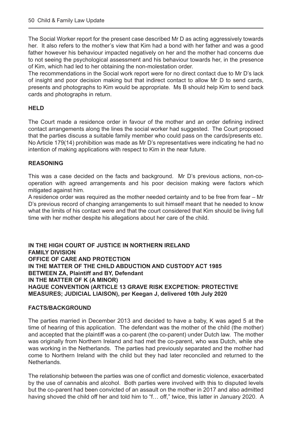The Social Worker report for the present case described Mr D as acting aggressively towards her. It also refers to the mother's view that Kim had a bond with her father and was a good father however his behaviour impacted negatively on her and the mother had concerns due to not seeing the psychological assessment and his behaviour towards her, in the presence of Kim, which had led to her obtaining the non-molestation order.

The recommendations in the Social work report were for no direct contact due to Mr D's lack of insight and poor decision making but that indirect contact to allow Mr D to send cards, presents and photographs to Kim would be appropriate. Ms B should help Kim to send back cards and photographs in return.

#### **HELD**

The Court made a residence order in favour of the mother and an order defining indirect contact arrangements along the lines the social worker had suggested. The Court proposed that the parties discuss a suitable family member who could pass on the cards/presents etc. No Article 179(14) prohibition was made as Mr D's representatives were indicating he had no intention of making applications with respect to Kim in the near future.

#### **REASONING**

This was a case decided on the facts and background. Mr D's previous actions, non-cooperation with agreed arrangements and his poor decision making were factors which mitigated against him.

A residence order was required as the mother needed certainty and to be free from fear – Mr D's previous record of changing arrangements to suit himself meant that he needed to know what the limits of his contact were and that the court considered that Kim should be living full time with her mother despite his allegations about her care of the child.

**IN THE HIGH COURT OF JUSTICE IN NORTHERN IRELAND FAMILY DIVISION OFFICE OF CARE AND PROTECTION IN THE MATTER OF THE CHILD ABDUCTION AND CUSTODY ACT 1985 BETWEEN ZA, Plaintiff and BY, Defendant IN THE MATTER OF K (A MINOR) HAGUE CONVENTION (ARTICLE 13 GRAVE RISK EXCPETION: PROTECTIVE MEASURES; JUDICIAL LIAISON), per Keegan J, delivered 10th July 2020**

#### **FACTS/BACKGROUND**

The parties married in December 2013 and decided to have a baby, K was aged 5 at the time of hearing of this application. The defendant was the mother of the child (the mother) and accepted that the plaintiff was a co-parent (the co-parent) under Dutch law. The mother was originally from Northern Ireland and had met the co-parent, who was Dutch, while she was working in the Netherlands. The parties had previously separated and the mother had come to Northern Ireland with the child but they had later reconciled and returned to the Netherlands.

The relationship between the parties was one of conflict and domestic violence, exacerbated by the use of cannabis and alcohol. Both parties were involved with this to disputed levels but the co-parent had been convicted of an assault on the mother in 2017 and also admitted having shoved the child off her and told him to "f... off," twice, this latter in January 2020. A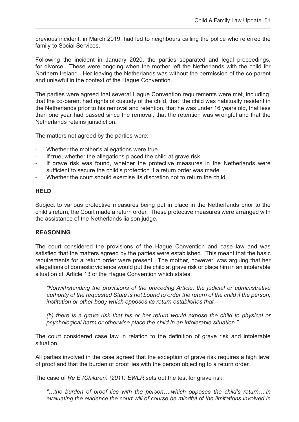previous incident, in March 2019, had led to neighbours calling the police who referred the family to Social Services.

Following the incident in January 2020, the parties separated and legal proceedings, for divorce. These were ongoing when the mother left the Netherlands with the child for Northern Ireland. Her leaving the Netherlands was without the permission of the co-parent and unlawful in the context of the Hague Convention.

The parties were agreed that several Hague Convention requirements were met, including, that the co-parent had rights of custody of the child, that the child was habitually resident in the Netherlands prior to his removal and retention, that he was under 16 years old, that less than one year had passed since the removal, that the retention was wrongful and that the Netherlands retains jurisdiction.

The matters not agreed by the parties were:

- Whether the mother's allegations were true
- If true, whether the allegations placed the child at grave risk
- If grave risk was found, whether the protective measures in the Netherlands were sufficient to secure the child's protection if a return order was made
- Whether the court should exercise its discretion not to return the child

#### **HELD**

Subject to various protective measures being put in place in the Netherlands prior to the child's return, the Court made a return order. These protective measures were arranged with the assistance of the Netherlands liaison judge.

#### **REASONING**

The court considered the provisions of the Hague Convention and case law and was satisfied that the matters agreed by the parties were established. This meant that the basic requirements for a return order were present. The mother, however, was arguing that her allegations of domestic violence would put the child at grave risk or place him in an intolerable situation cf. Article 13 of the Hague Convention which states:

 *"Notwithstanding the provisions of the preceding Article, the judicial or administrative authority of the requested State is not bound to order the return of the child if the person, institution or other body which opposes its return establishes that –*

 *(b) there is a grave risk that his or her return would expose the child to physical or psychological harm or otherwise place the child in an intolerable situation."*

The court considered case law in relation to the definition of grave risk and intolerable situation.

All parties involved in the case agreed that the exception of grave risk requires a high level of proof and that the burden of proof lies with the person objecting to a return order.

The case of *Re E (Children) (2011) EWLR* sets out the test for grave risk:

*"…the burden of proof lies with the person….which opposes the child's return….in evaluating the evidence the court will of course be mindful of the limitations involved in*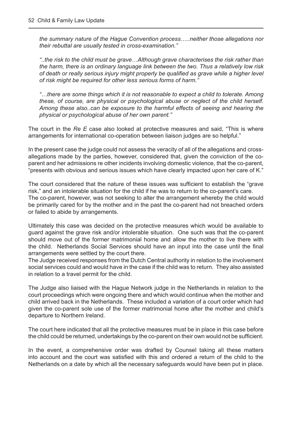*the summary nature of the Hague Convention process…..neither those allegations nor their rebuttal are usually tested in cross-examination."*

*"..the risk to the child must be grave…Although grave characterises the risk rather than the harm, there is an ordinary language link between the two. Thus a relatively low risk of death or really serious injury might properly be qualified as grave while a higher level of risk might be required for other less serious forms of harm."*

*"…there are some things which it is not reasonable to expect a child to tolerate. Among these, of course, are physical or psychological abuse or neglect of the child herself. Among these also..can be exposure to the harmful effects of seeing and hearing the physical or psychological abuse of her own parent."*

The court in the *Re E* case also looked at protective measures and said, "This is where arrangements for international co-operation between liaison judges are so helpful."

In the present case the judge could not assess the veracity of all of the allegations and crossallegations made by the parties, however, considered that, given the conviction of the coparent and her admissions re other incidents involving domestic violence, that the co-parent, "presents with obvious and serious issues which have clearly impacted upon her care of K."

The court considered that the nature of these issues was sufficient to establish the "grave risk," and an intolerable situation for the child if he was to return to the co-parent's care. The co-parent, however, was not seeking to alter the arrangement whereby the child would be primarily cared for by the mother and in the past the co-parent had not breached orders or failed to abide by arrangements.

Ultimately this case was decided on the protective measures which would be available to guard against the grave risk and/or intolerable situation. One such was that the co-parent should move out of the former matrimonial home and allow the mother to live there with the child. Netherlands Social Services should have an input into the case until the final arrangements were settled by the court there.

The Judge received responses from the Dutch Central authority in relation to the involvement social services could and would have in the case if the child was to return. They also assisted in relation to a travel permit for the child.

The Judge also liaised with the Hague Network judge in the Netherlands in relation to the court proceedings which were ongoing there and which would continue when the mother and child arrived back in the Netherlands. These included a variation of a court order which had given the co-parent sole use of the former matrimonial home after the mother and child's departure to Northern Ireland.

The court here indicated that all the protective measures must be in place in this case before the child could be returned, undertakings by the co-parent on their own would not be sufficient.

In the event, a comprehensive order was drafted by Counsel taking all these matters into account and the court was satisfied with this and ordered a return of the child to the Netherlands on a date by which all the necessary safeguards would have been put in place.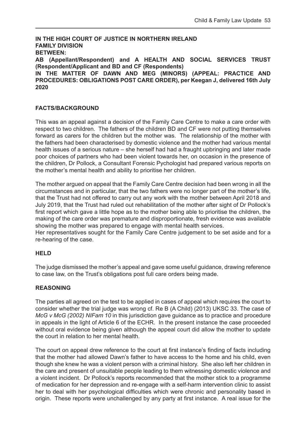**IN THE HIGH COURT OF JUSTICE IN NORTHERN IRELAND FAMILY DIVISION BETWEEN: AB (Appellant/Respondent) and A HEALTH AND SOCIAL SERVICES TRUST (Respondent/Applicant and BD and CF (Respondents) IN THE MATTER OF DAWN AND MEG (MINORS) (APPEAL: PRACTICE AND PROCEDURES: OBLIGATIONS POST CARE ORDER), per Keegan J, delivered 16th July 2020**

#### **FACTS/BACKGROUND**

This was an appeal against a decision of the Family Care Centre to make a care order with respect to two children. The fathers of the children BD and CF were not putting themselves forward as carers for the children but the mother was. The relationship of the mother with the fathers had been characterised by domestic violence and the mother had various mental health issues of a serious nature – she herself had had a fraught upbringing and later made poor choices of partners who had been violent towards her, on occasion in the presence of the children, Dr Pollock, a Consultant Forensic Pychologist had prepared various reports on the mother's mental health and ability to prioritise her children.

The mother argued on appeal that the Family Care Centre decision had been wrong in all the circumstances and in particular, that the two fathers were no longer part of the mother's life, that the Trust had not offered to carry out any work with the mother between April 2018 and July 2019, that the Trust had ruled out rehabilitation of the mother after sight of Dr Pollock's first report which gave a little hope as to the mother being able to prioritise the children, the making of the care order was premature and disproportionate, fresh evidence was available showing the mother was prepared to engage with mental health services.

Her representatives sought for the Family Care Centre judgement to be set aside and for a re-hearing of the case.

#### **HELD**

The judge dismissed the mother's appeal and gave some useful guidance, drawing reference to case law, on the Trust's obligations post full care orders being made.

#### **REASONING**

The parties all agreed on the test to be applied in cases of appeal which requires the court to consider whether the trial judge was wrong cf. Re B (A Child) (2013) UKSC 33. The case of *McG v McG (2002) NIFam 10* in this jurisdiction gave guidance as to practice and procedure in appeals in the light of Article 6 of the ECHR. In the present instance the case proceeded without oral evidence being given although the appeal court did allow the mother to update the court in relation to her mental health.

The court on appeal drew reference to the court at first instance's finding of facts including that the mother had allowed Dawn's father to have access to the home and his child, even though she knew he was a violent person with a criminal history. She also left her children in the care and present of unsuitable people leading to them witnessing domestic violence and a violent incident. Dr Pollock's reports recommended that the mother stick to a programme of medication for her depression and re-engage with a self-harm intervention clinic to assist her to deal with her psychological difficulties which were chronic and personality based in origin. These reports were unchallenged by any party at first instance. A real issue for the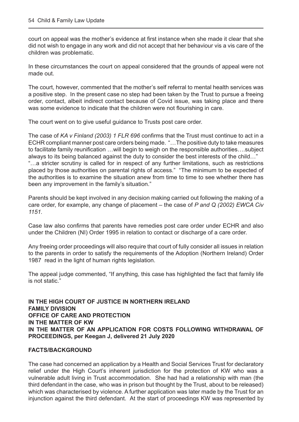court on appeal was the mother's evidence at first instance when she made it clear that she did not wish to engage in any work and did not accept that her behaviour vis a vis care of the children was problematic.

In these circumstances the court on appeal considered that the grounds of appeal were not made out.

The court, however, commented that the mother's self referral to mental health services was a positive step. In the present case no step had been taken by the Trust to pursue a freeing order, contact, albeit indirect contact because of Covid issue, was taking place and there was some evidence to indicate that the children were not flourishing in care.

The court went on to give useful guidance to Trusts post care order.

The case of *KA v Finland (2003) 1 FLR 696* confirms that the Trust must continue to act in a ECHR compliant manner post care orders being made. "…The positive duty to take measures to facilitate family reunification …will begin to weigh on the responsible authorities….subject always to its being balanced against the duty to consider the best interests of the child…" "…a stricter scrutiny is called for in respect of any further limitations, such as restrictions placed by those authorities on parental rights of access." "The minimum to be expected of the authorities is to examine the situation anew from time to time to see whether there has been any improvement in the family's situation."

Parents should be kept involved in any decision making carried out following the making of a care order, for example, any change of placement – the case of *P and Q (2002) EWCA Civ 1151.* 

Case law also confirms that parents have remedies post care order under ECHR and also under the Children (NI) Order 1995 in relation to contact or discharge of a care order.

Any freeing order proceedings will also require that court of fully consider all issues in relation to the parents in order to satisfy the requirements of the Adoption (Northern Ireland) Order 1987 read in the light of human rights legislation.

The appeal judge commented, "If anything, this case has highlighted the fact that family life is not static."

**IN THE HIGH COURT OF JUSTICE IN NORTHERN IRELAND FAMILY DIVISION OFFICE OF CARE AND PROTECTION IN THE MATTER OF KW IN THE MATTER OF AN APPLICATION FOR COSTS FOLLOWING WITHDRAWAL OF PROCEEDINGS, per Keegan J, delivered 21 July 2020**

#### **FACTS/BACKGROUND**

The case had concerned an application by a Health and Social Services Trust for declaratory relief under the High Court's inherent jurisdiction for the protection of KW who was a vulnerable adult living in Trust accommodation. She had had a relationship with man (the third defendant in the case, who was in prison but thought by the Trust, about to be released) which was characterised by violence. A further application was later made by the Trust for an injunction against the third defendant. At the start of proceedings KW was represented by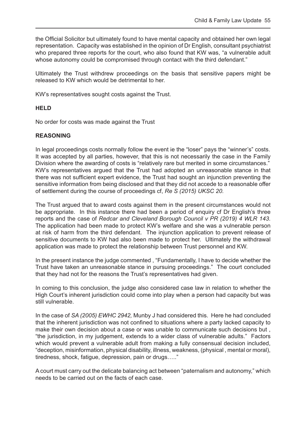the Official Solicitor but ultimately found to have mental capacity and obtained her own legal representation. Capacity was established in the opinion of Dr English, consultant psychiatrist who prepared three reports for the court, who also found that KW was, "a vulnerable adult whose autonomy could be compromised through contact with the third defendant."

Ultimately the Trust withdrew proceedings on the basis that sensitive papers might be released to KW which would be detrimental to her.

KW's representatives sought costs against the Trust.

#### **HELD**

No order for costs was made against the Trust

#### **REASONING**

In legal proceedings costs normally follow the event ie the "loser" pays the "winner's" costs. It was accepted by all parties, however, that this is not necessarily the case in the Family Division where the awarding of costs is "relatively rare but merited in some circumstances." KW's representatives argued that the Trust had adopted an unreasonable stance in that there was not sufficient expert evidence, the Trust had sought an injunction preventing the sensitive information from being disclosed and that they did not accede to a reasonable offer of settlement during the course of proceedings cf, *Re S (2015) UKSC 20.* 

The Trust argued that to award costs against them in the present circumstances would not be appropriate. In this instance there had been a period of enquiry cf Dr English's three reports and the case of *Redcar and Cleveland Borough Council v PR (2019) 4 WLR 143*. The application had been made to protect KW's welfare and she was a vulnerable person at risk of harm from the third defendant. The injunction application to prevent release of sensitive documents to KW had also been made to protect her. Ultimately the withdrawal application was made to protect the relationship between Trust personnel and KW.

In the present instance the judge commented , "Fundamentally, I have to decide whether the Trust have taken an unreasonable stance in pursuing proceedings." The court concluded that they had not for the reasons the Trust's representatives had given.

In coming to this conclusion, the judge also considered case law in relation to whether the High Court's inherent jurisdiction could come into play when a person had capacity but was still vulnerable.

In the case of *SA (2005) EWHC 2942,* Munby J had considered this. Here he had concluded that the inherent jurisdiction was not confined to situations where a party lacked capacity to make their own decision about a case or was unable to communicate such decisions but , "the jurisdiction, in my judgement, extends to a wider class of vulnerable adults." Factors which would prevent a vulnerable adult from making a fully consensual decision included, "deception, misinformation, physical disability, illness, weakness, (physical , mental or moral), tiredness, shock, fatigue, depression, pain or drugs….."

A court must carry out the delicate balancing act between "paternalism and autonomy," which needs to be carried out on the facts of each case.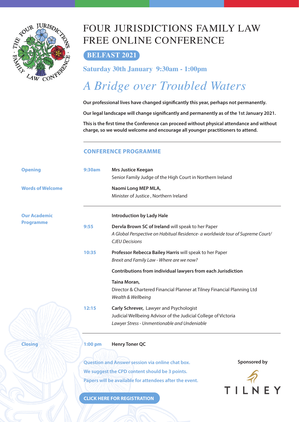<span id="page-56-0"></span>

### FOUR JURISDICTIONS FAMILY LAW FREE ONLINE CONFERENCE

#### **BELFAST 2021**

#### **Saturday 30th January 9:30am - 1:00pm**

### *A Bridge over Troubled Waters*

Our professional lives have changed significantly this year, perhaps not permanently.

Our legal landscape will change significantly and permanently as of the 1st January 2021.

This is the first time the Conference can proceed without physical attendance and without **charge, so we would welcome and encourage all younger practitioners to attend.**

#### **CONFERENCE PROGRAMME**

| <b>Opening</b>          | <b>9:30am</b> | <b>Mrs Justice Keegan</b><br>Senior Family Judge of the High Court in Northern Ireland                                                                        |
|-------------------------|---------------|---------------------------------------------------------------------------------------------------------------------------------------------------------------|
| <b>Words of Welcome</b> |               | Naomi Long MEP MLA,<br>Minister of Justice, Northern Ireland                                                                                                  |
| <b>Our Academic</b>     |               | <b>Introduction by Lady Hale</b>                                                                                                                              |
| <b>Programme</b>        | 9:55          | Dervla Brown SC of Ireland will speak to her Paper<br>A Global Perspective on Habitual Residence- a worldwide tour of Supreme Court/<br><b>CJEU Decisions</b> |
|                         | 10:35         | Professor Rebecca Bailey Harris will speak to her Paper<br>Brexit and Family Law - Where are we now?                                                          |
|                         |               | Contributions from individual lawyers from each Jurisdiction                                                                                                  |
|                         |               | Taina Moran,<br>Director & Chartered Financial Planner at Tilney Financial Planning Ltd<br>Wealth & Wellbeing                                                 |
|                         | 12:15         | Carly Schrever, Lawyer and Psychologist<br>Judicial Wellbeing Advisor of the Judicial College of Victoria<br>Lawyer Stress - Unmentionable and Undeniable     |
| <b>Closing</b>          | $1:00$ pm     | <b>Henry Toner QC</b>                                                                                                                                         |
|                         |               | Sponsored by<br><b>Question and Answer session via online chat box.</b>                                                                                       |
|                         |               | We suggest the CPD content should be 3 points.<br>Papers will be available for attendees after the event.                                                     |
|                         |               |                                                                                                                                                               |

**[CLICK HERE FOR REGISTRATION](https://register.gotowebinar.com/register/5443397706975377679)**